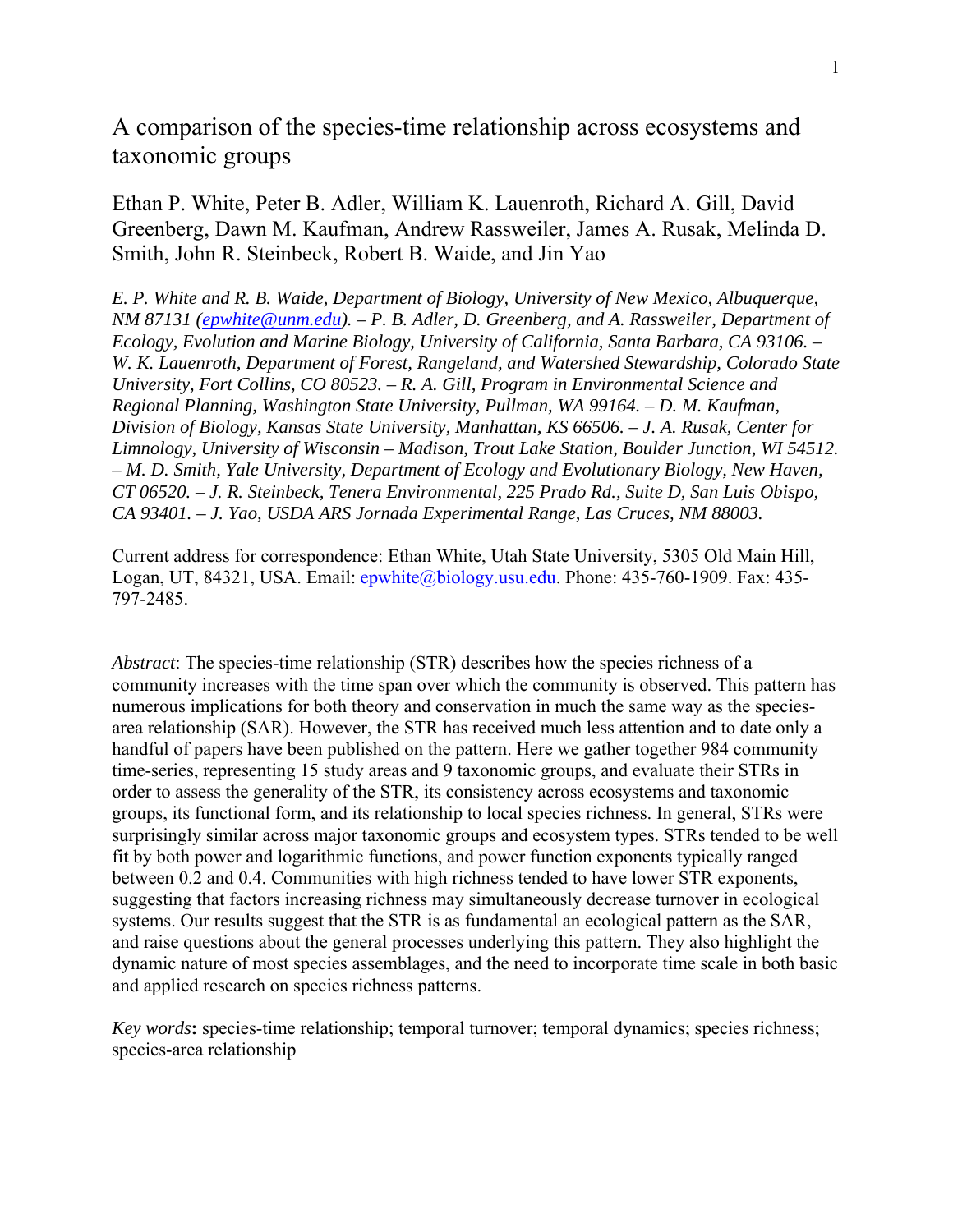# A comparison of the species-time relationship across ecosystems and taxonomic groups

Ethan P. White, Peter B. Adler, William K. Lauenroth, Richard A. Gill, David Greenberg, Dawn M. Kaufman, Andrew Rassweiler, James A. Rusak, Melinda D. Smith, John R. Steinbeck, Robert B. Waide, and Jin Yao

*E. P. White and R. B. Waide, Department of Biology, University of New Mexico, Albuquerque, NM 87131 (epwhite@unm.edu). – P. B. Adler, D. Greenberg, and A. Rassweiler, Department of Ecology, Evolution and Marine Biology, University of California, Santa Barbara, CA 93106. – W. K. Lauenroth, Department of Forest, Rangeland, and Watershed Stewardship, Colorado State University, Fort Collins, CO 80523. – R. A. Gill, Program in Environmental Science and Regional Planning, Washington State University, Pullman, WA 99164. – D. M. Kaufman, Division of Biology, Kansas State University, Manhattan, KS 66506. – J. A. Rusak, Center for Limnology, University of Wisconsin – Madison, Trout Lake Station, Boulder Junction, WI 54512. – M. D. Smith, Yale University, Department of Ecology and Evolutionary Biology, New Haven, CT 06520. – J. R. Steinbeck, Tenera Environmental, 225 Prado Rd., Suite D, San Luis Obispo, CA 93401. – J. Yao, USDA ARS Jornada Experimental Range, Las Cruces, NM 88003.* 

Current address for correspondence: Ethan White, Utah State University, 5305 Old Main Hill, Logan, UT, 84321, USA. Email: epwhite@biology.usu.edu. Phone: 435-760-1909. Fax: 435- 797-2485.

*Abstract*: The species-time relationship (STR) describes how the species richness of a community increases with the time span over which the community is observed. This pattern has numerous implications for both theory and conservation in much the same way as the speciesarea relationship (SAR). However, the STR has received much less attention and to date only a handful of papers have been published on the pattern. Here we gather together 984 community time-series, representing 15 study areas and 9 taxonomic groups, and evaluate their STRs in order to assess the generality of the STR, its consistency across ecosystems and taxonomic groups, its functional form, and its relationship to local species richness. In general, STRs were surprisingly similar across major taxonomic groups and ecosystem types. STRs tended to be well fit by both power and logarithmic functions, and power function exponents typically ranged between 0.2 and 0.4. Communities with high richness tended to have lower STR exponents, suggesting that factors increasing richness may simultaneously decrease turnover in ecological systems. Our results suggest that the STR is as fundamental an ecological pattern as the SAR, and raise questions about the general processes underlying this pattern. They also highlight the dynamic nature of most species assemblages, and the need to incorporate time scale in both basic and applied research on species richness patterns.

*Key words***:** species-time relationship; temporal turnover; temporal dynamics; species richness; species-area relationship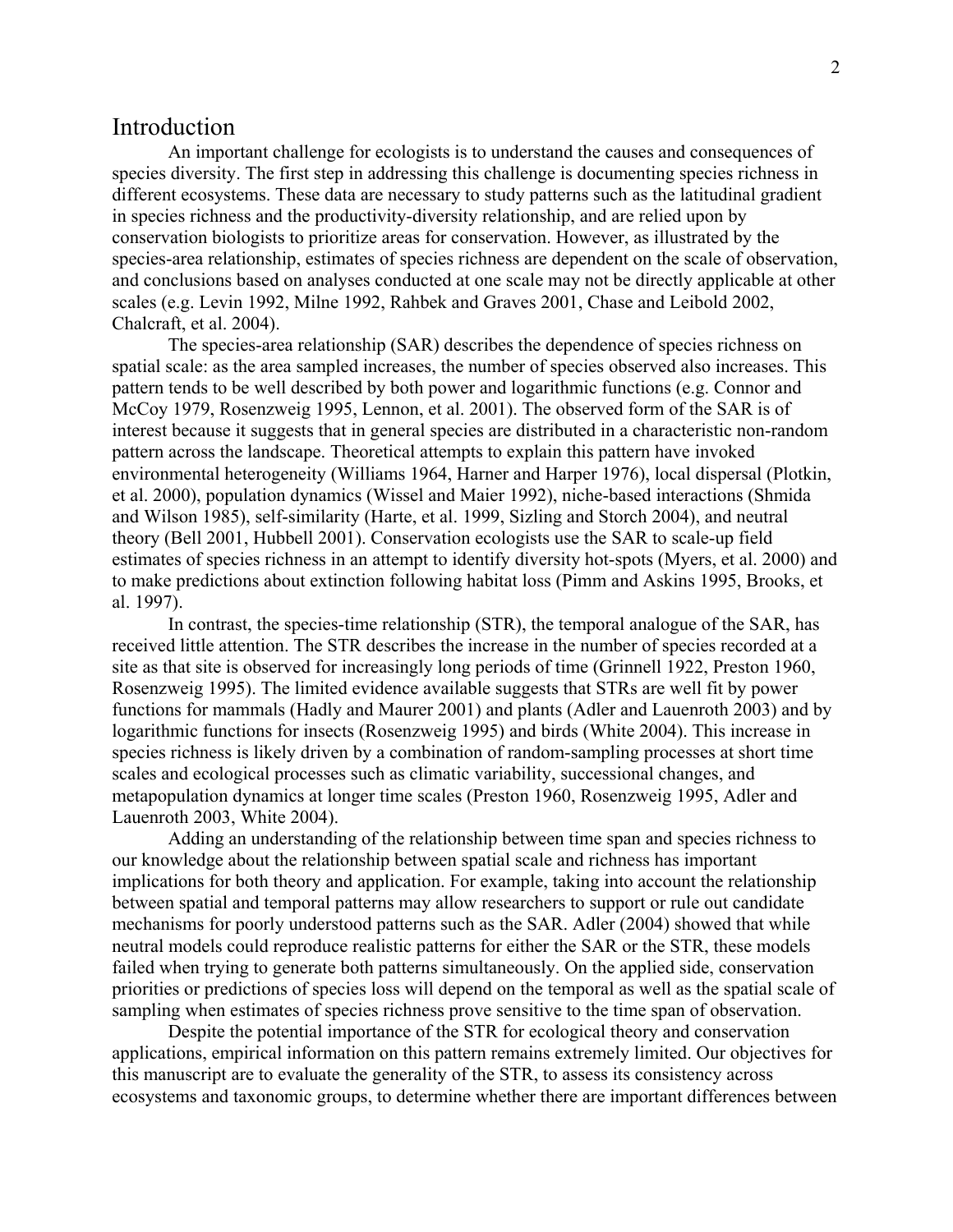# Introduction

 An important challenge for ecologists is to understand the causes and consequences of species diversity. The first step in addressing this challenge is documenting species richness in different ecosystems. These data are necessary to study patterns such as the latitudinal gradient in species richness and the productivity-diversity relationship, and are relied upon by conservation biologists to prioritize areas for conservation. However, as illustrated by the species-area relationship, estimates of species richness are dependent on the scale of observation, and conclusions based on analyses conducted at one scale may not be directly applicable at other scales (e.g. Levin 1992, Milne 1992, Rahbek and Graves 2001, Chase and Leibold 2002, Chalcraft, et al. 2004).

 The species-area relationship (SAR) describes the dependence of species richness on spatial scale: as the area sampled increases, the number of species observed also increases. This pattern tends to be well described by both power and logarithmic functions (e.g. Connor and McCoy 1979, Rosenzweig 1995, Lennon, et al. 2001). The observed form of the SAR is of interest because it suggests that in general species are distributed in a characteristic non-random pattern across the landscape. Theoretical attempts to explain this pattern have invoked environmental heterogeneity (Williams 1964, Harner and Harper 1976), local dispersal (Plotkin, et al. 2000), population dynamics (Wissel and Maier 1992), niche-based interactions (Shmida and Wilson 1985), self-similarity (Harte, et al. 1999, Sizling and Storch 2004), and neutral theory (Bell 2001, Hubbell 2001). Conservation ecologists use the SAR to scale-up field estimates of species richness in an attempt to identify diversity hot-spots (Myers, et al. 2000) and to make predictions about extinction following habitat loss (Pimm and Askins 1995, Brooks, et al. 1997).

 In contrast, the species-time relationship (STR), the temporal analogue of the SAR, has received little attention. The STR describes the increase in the number of species recorded at a site as that site is observed for increasingly long periods of time (Grinnell 1922, Preston 1960, Rosenzweig 1995). The limited evidence available suggests that STRs are well fit by power functions for mammals (Hadly and Maurer 2001) and plants (Adler and Lauenroth 2003) and by logarithmic functions for insects (Rosenzweig 1995) and birds (White 2004). This increase in species richness is likely driven by a combination of random-sampling processes at short time scales and ecological processes such as climatic variability, successional changes, and metapopulation dynamics at longer time scales (Preston 1960, Rosenzweig 1995, Adler and Lauenroth 2003, White 2004).

Adding an understanding of the relationship between time span and species richness to our knowledge about the relationship between spatial scale and richness has important implications for both theory and application. For example, taking into account the relationship between spatial and temporal patterns may allow researchers to support or rule out candidate mechanisms for poorly understood patterns such as the SAR. Adler (2004) showed that while neutral models could reproduce realistic patterns for either the SAR or the STR, these models failed when trying to generate both patterns simultaneously. On the applied side, conservation priorities or predictions of species loss will depend on the temporal as well as the spatial scale of sampling when estimates of species richness prove sensitive to the time span of observation.

 Despite the potential importance of the STR for ecological theory and conservation applications, empirical information on this pattern remains extremely limited. Our objectives for this manuscript are to evaluate the generality of the STR, to assess its consistency across ecosystems and taxonomic groups, to determine whether there are important differences between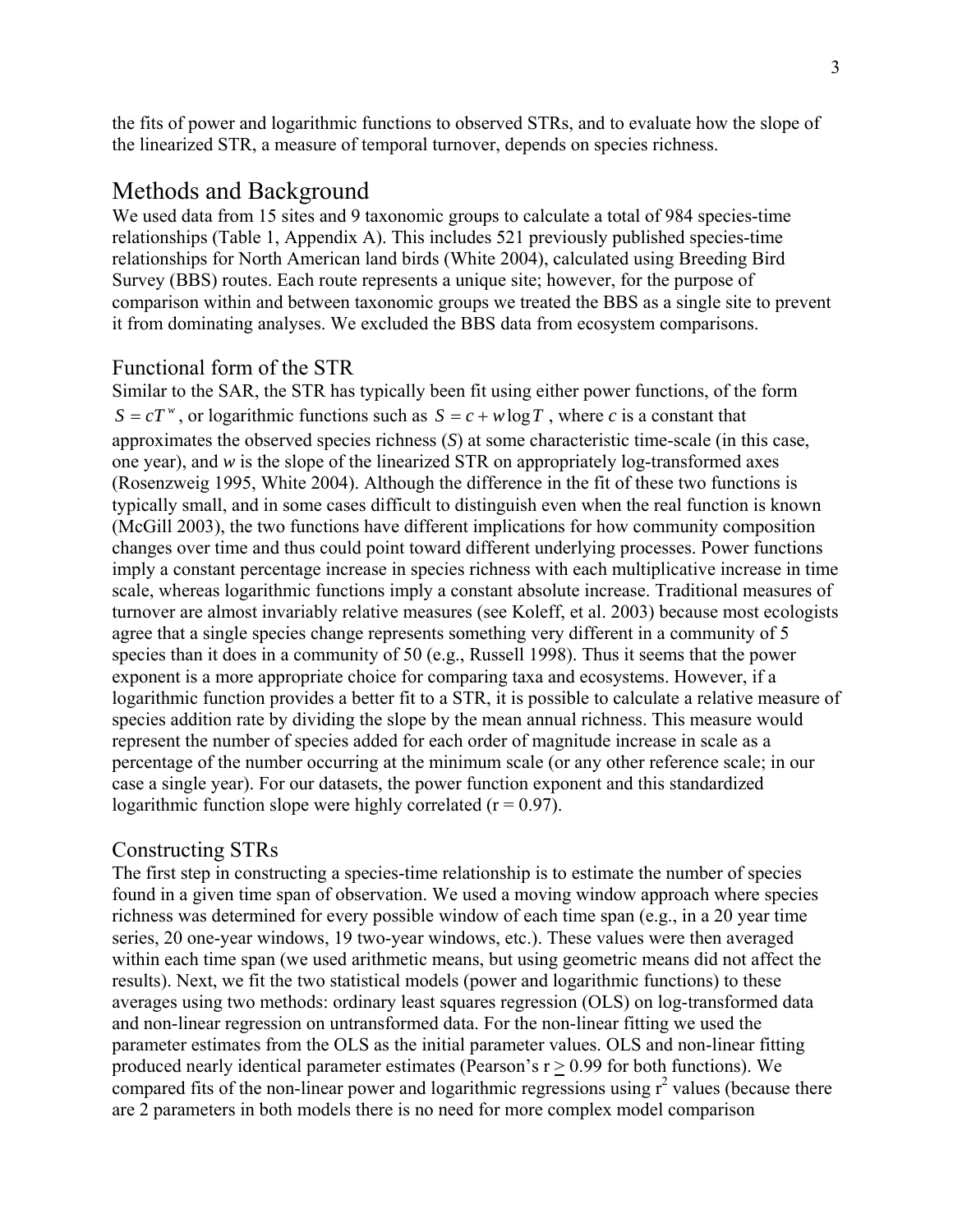the fits of power and logarithmic functions to observed STRs, and to evaluate how the slope of the linearized STR, a measure of temporal turnover, depends on species richness.

### Methods and Background

We used data from 15 sites and 9 taxonomic groups to calculate a total of 984 species-time relationships (Table 1, Appendix A). This includes 521 previously published species-time relationships for North American land birds (White 2004), calculated using Breeding Bird Survey (BBS) routes. Each route represents a unique site; however, for the purpose of comparison within and between taxonomic groups we treated the BBS as a single site to prevent it from dominating analyses. We excluded the BBS data from ecosystem comparisons.

#### Functional form of the STR

Similar to the SAR, the STR has typically been fit using either power functions, of the form  $S = cT^{\nu}$ , or logarithmic functions such as  $S = c + w \log T$ , where *c* is a constant that approximates the observed species richness (*S*) at some characteristic time-scale (in this case, one year), and *w* is the slope of the linearized STR on appropriately log-transformed axes (Rosenzweig 1995, White 2004). Although the difference in the fit of these two functions is typically small, and in some cases difficult to distinguish even when the real function is known (McGill 2003), the two functions have different implications for how community composition changes over time and thus could point toward different underlying processes. Power functions imply a constant percentage increase in species richness with each multiplicative increase in time scale, whereas logarithmic functions imply a constant absolute increase. Traditional measures of turnover are almost invariably relative measures (see Koleff, et al. 2003) because most ecologists agree that a single species change represents something very different in a community of 5 species than it does in a community of 50 (e.g., Russell 1998). Thus it seems that the power exponent is a more appropriate choice for comparing taxa and ecosystems. However, if a logarithmic function provides a better fit to a STR, it is possible to calculate a relative measure of species addition rate by dividing the slope by the mean annual richness. This measure would represent the number of species added for each order of magnitude increase in scale as a percentage of the number occurring at the minimum scale (or any other reference scale; in our case a single year). For our datasets, the power function exponent and this standardized logarithmic function slope were highly correlated  $(r = 0.97)$ .

### Constructing STRs

The first step in constructing a species-time relationship is to estimate the number of species found in a given time span of observation. We used a moving window approach where species richness was determined for every possible window of each time span (e.g., in a 20 year time series, 20 one-year windows, 19 two-year windows, etc.). These values were then averaged within each time span (we used arithmetic means, but using geometric means did not affect the results). Next, we fit the two statistical models (power and logarithmic functions) to these averages using two methods: ordinary least squares regression (OLS) on log-transformed data and non-linear regression on untransformed data. For the non-linear fitting we used the parameter estimates from the OLS as the initial parameter values. OLS and non-linear fitting produced nearly identical parameter estimates (Pearson's  $r > 0.99$  for both functions). We compared fits of the non-linear power and logarithmic regressions using  $r^2$  values (because there are 2 parameters in both models there is no need for more complex model comparison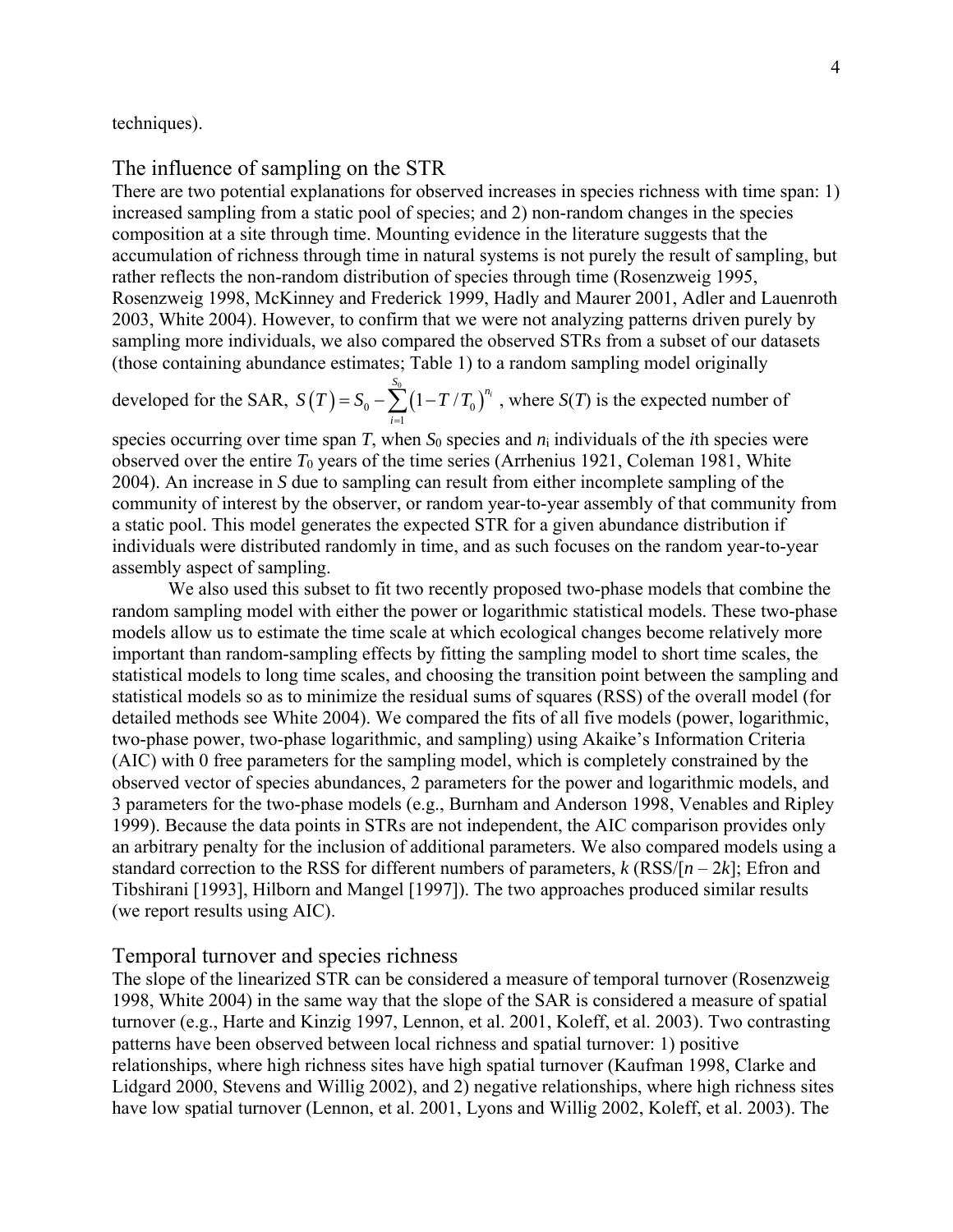techniques).

#### The influence of sampling on the STR

There are two potential explanations for observed increases in species richness with time span: 1) accumulation of richness through time in natural systems is not purely the result of sampling, but Rosenzweig 1998, McKinney and Frederick 1999, Hadly and Maurer 2001, Adler and Lauenroth increased sampling from a static pool of species; and 2) non-random changes in the species composition at a site through time. Mounting evidence in the literature suggests that the rather reflects the non-random distribution of species through time (Rosenzweig 1995, 2003, White 2004). However, to confirm that we were not analyzing patterns driven purely by sampling more individuals, we also compared the observed STRs from a subset of our datasets (those containing abundance estimates; Table 1) to a random sampling model originally

*i*= developed for the SAR,  $S(T) = S_0 - \sum_{i=0}^{S_0} (1 - T/T_0)^{n_i}$ , where  $S(T)$  is the expected number of 1  $1-T/$ 

species occurring over time span *T*, when  $S_0$  species and  $n_i$  individuals of the *i*th species were community of interest by the observer, or random year-to-year assembly of that community from individuals were distributed randomly in time, and as such focuses on the random year-to-year observed over the entire  $T_0$  years of the time series (Arrhenius 1921, Coleman 1981, White 2004). An increase in *S* due to sampling can result from either incomplete sampling of the a static pool. This model generates the expected STR for a given abundance distribution if assembly aspect of sampling.

We also used this subset to fit two recently proposed two-phase models that combine the random sampling model with either the power or logarithmic statistical models. These two-phase statistical models to long time scales, and choosing the transition point between the sampling and observed vector of species abundances, 2 parameters for the power and logarithmic models, and models allow us to estimate the time scale at which ecological changes become relatively more important than random-sampling effects by fitting the sampling model to short time scales, the statistical models so as to minimize the residual sums of squares (RSS) of the overall model (for detailed methods see White 2004). We compared the fits of all five models (power, logarithmic, two-phase power, two-phase logarithmic, and sampling) using Akaike's Information Criteria (AIC) with 0 free parameters for the sampling model, which is completely constrained by the 3 parameters for the two-phase models (e.g., Burnham and Anderson 1998, Venables and Ripley 1999). Because the data points in STRs are not independent, the AIC comparison provides only an arbitrary penalty for the inclusion of additional parameters. We also compared models using a standard correction to the RSS for different numbers of parameters,  $k$  (RSS/ $[n-2k]$ ; Efron and Tibshirani [1993], Hilborn and Mangel [1997]). The two approaches produced similar results (we report results using AIC).

### Temporal turnover and species richness

The slope of the linearized STR can be considered a measure of temporal turnover (Rosenzweig relationships, where high richness sites have high spatial turnover (Kaufman 1998, Clarke and Lidgard 2000, Stevens and Willig 2002), and 2) negative relationships, where high richness sites 1998, White 2004) in the same way that the slope of the SAR is considered a measure of spatial turnover (e.g., Harte and Kinzig 1997, Lennon, et al. 2001, Koleff, et al. 2003). Two contrasting patterns have been observed between local richness and spatial turnover: 1) positive have low spatial turnover (Lennon, et al. 2001, Lyons and Willig 2002, Koleff, et al. 2003). The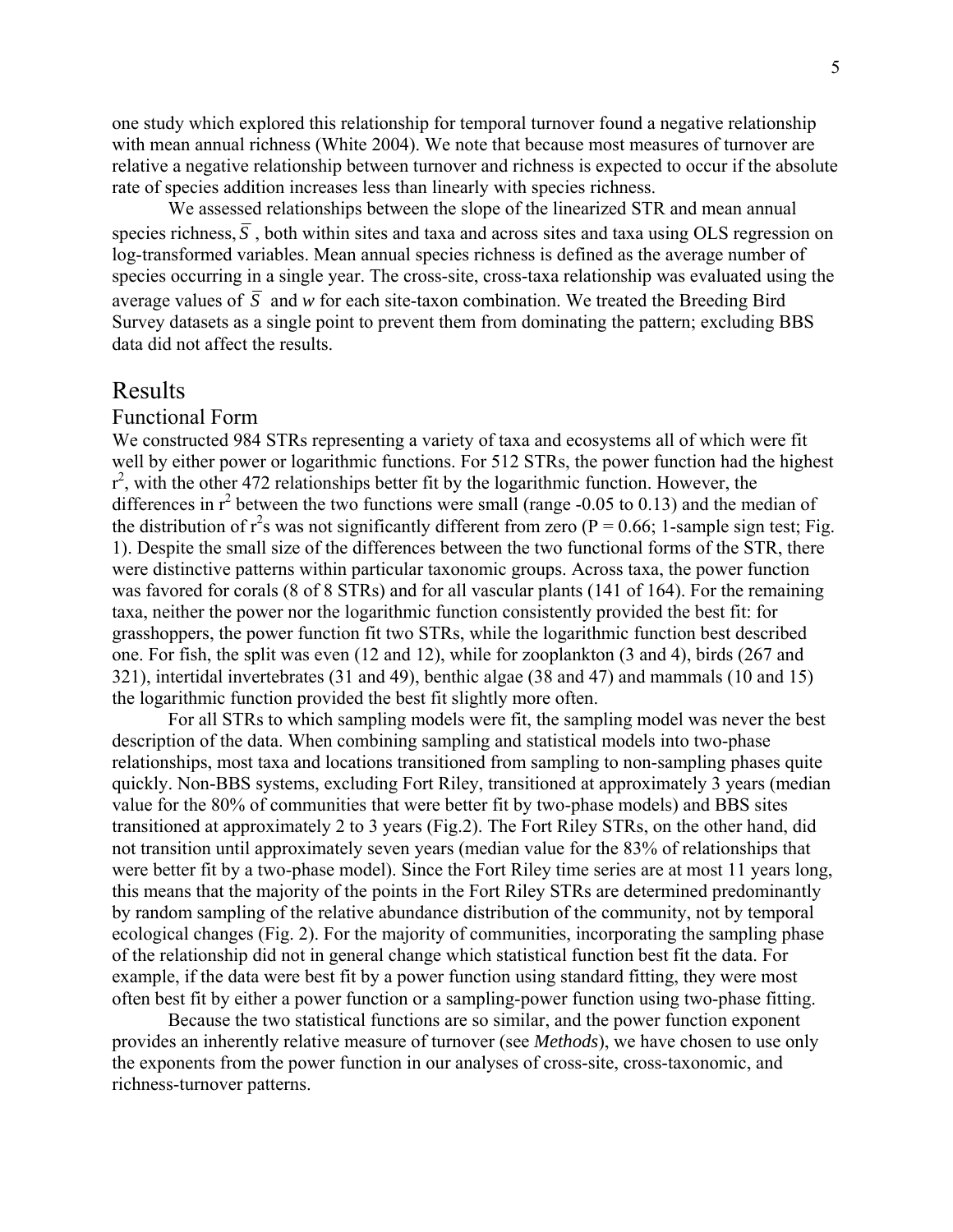one study which explored this relationship for temporal turnover found a negative relationship with mean annual richness (White 2004). We note that because most measures of turnover are relative a negative relationship between turnover and richness is expected to occur if the absolu te rate of species addition increases less than linearly with species richness.

We assessed relationships between the slope of the linearized STR and mean annual species richness, *S* , both within sites and taxa and across sites and taxa using OLS regression on log-transformed variables. Mean annual species richness is defined as the average number of species occurring in a single year. The cross-site, cross-taxa relationship was evaluated using t he average values of  $\overline{S}$  and *w* for each site-taxon combination. We treated the Breeding Bird Survey datasets as a single point to prevent them from dominating the pattern; excluding BB S data did not affect the results.

# Results

### **Functional Form**

We constructed 984 STRs representing a variety of taxa and ecosystems all of which were fit well by either power or logarithmic functions. For 512 STRs, the power function had the highest the distribution of  $r^2$ s was not significantly different from zero (P = 0.66; 1-sample sign test; Fig. grasshoppers, the power function fit two STRs, while the logarithmic function best described  $r^2$ , with the other 472 relationships better fit by the logarithmic function. However, the differences in  $r^2$  between the two functions were small (range -0.05 to 0.13) and the median of 1). Despite the small size of the differences between the two functional forms of the STR, there were distinctive patterns within particular taxonomic groups. Across taxa, the power function was favored for corals (8 of 8 STRs) and for all vascular plants (141 of 164). For the remaining taxa, neither the power nor the logarithmic function consistently provided the best fit: for one. For fish, the split was even (12 and 12), while for zooplankton (3 and 4), birds (267 and 321), intertidal invertebrates (31 and 49), benthic algae (38 and 47) and mammals (10 and 15) the logarithmic function provided the best fit slightly more often.

For all STRs to which sampling models were fit, the sampling model was never the best descrip tion of the data. When combining sampling and statistical models into two-phase relationships, most taxa and locations transitioned from sampling to non-sampling phases quite transitioned at approximately 2 to 3 years (Fig.2). The Fort Riley STRs, on the other hand, did were better fit by a two-phase model). Since the Fort Riley time series are at most 11 years long, . often best fit by either a power function or a sampling-power function using two-phase fitting quickly. Non-BBS systems, excluding Fort Riley, transitioned at approximately 3 years (median value for the 80% of communities that were better fit by two-phase models) and BBS sites not transition until approximately seven years (median value for the 83% of relationships that this means that the majority of the points in the Fort Riley STRs are determined predominantly by random sampling of the relative abundance distribution of the community, not by temporal ecological changes (Fig. 2). For the majority of communities, incorporating the sampling phase of the relationship did not in general change which statistical function best fit the data. For example, if the data were best fit by a power function using standard fitting, they were most

provides an inherently relative measure of turnover (see *Methods*), we have chosen to use only Because the two statistical functions are so similar, and the power function exponent the exponents from the power function in our analyses of cross-site, cross-taxonomic, and richness-turnover patterns.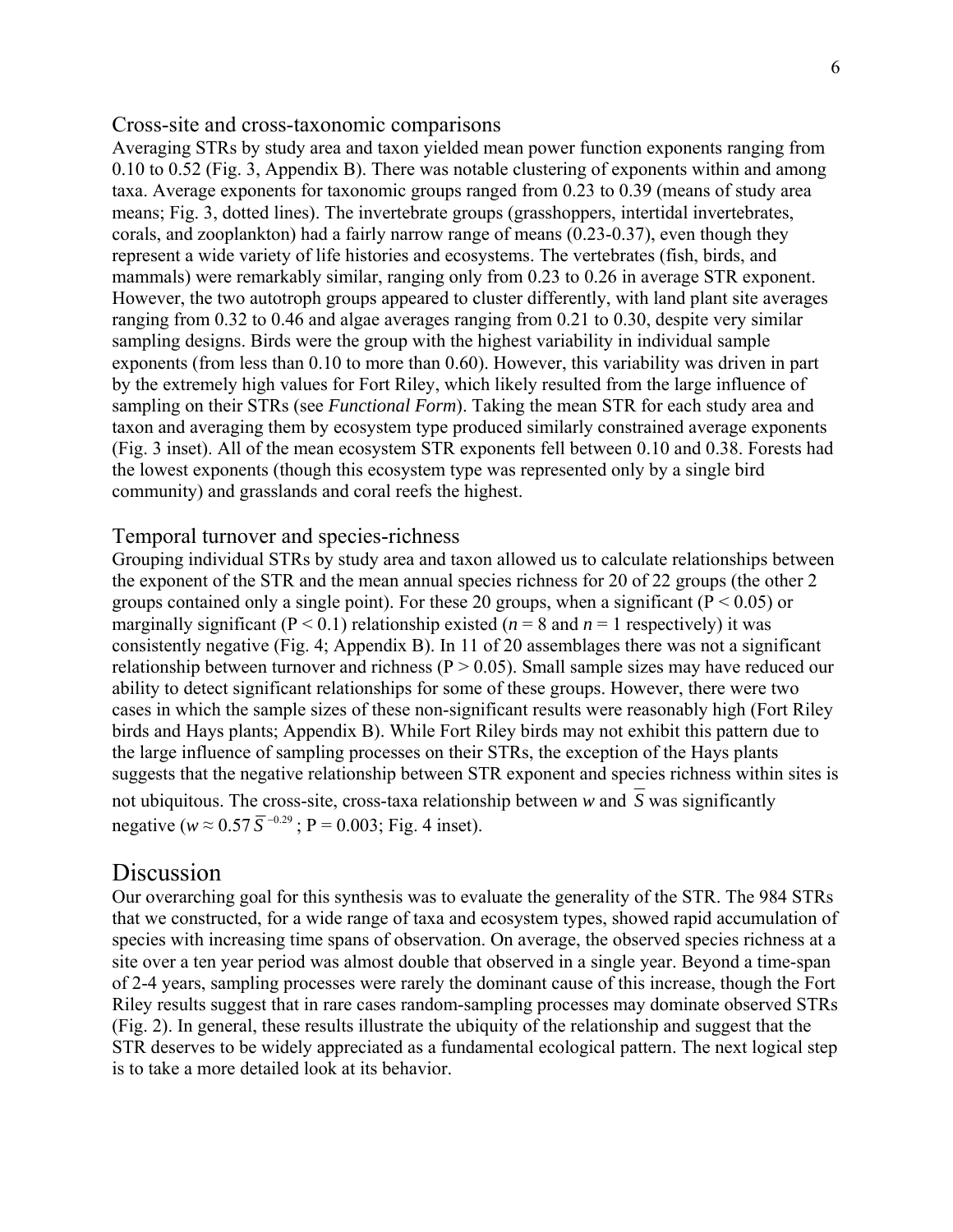#### Cross-site and cross-taxonomic comparisons

Averaging STRs by study area and taxon yielded mean power function exponents ranging from mammals) were remarkably similar, ranging only from 0.23 to 0.26 in average STR exponent. exponents (from less than 0.10 to more than 0.60). However, this variability was driven in part 0.10 to 0.52 (Fig. 3, Appendix B). There was notable clustering of exponents within and among taxa. Average exponents for taxonomic groups ranged from 0.23 to 0.39 (means of study area means; Fig. 3, dotted lines). The invertebrate groups (grasshoppers, intertidal invertebrates, corals, and zooplankton) had a fairly narrow range of means (0.23-0.37), even though they represent a wide variety of life histories and ecosystems. The vertebrates (fish, birds, and However, the two autotroph groups appeared to cluster differently, with land plant site averages ranging from 0.32 to 0.46 and algae averages ranging from 0.21 to 0.30, despite very similar sampling designs. Birds were the group with the highest variability in individual sample by the extremely high values for Fort Riley, which likely resulted from the large influence of sampling on their STRs (see *Functional Form*). Taking the mean STR for each study area and taxon and averaging them by ecosystem type produced similarly constrained average exponents (Fig. 3 inset). All of the mean ecosystem STR exponents fell between 0.10 and 0.38. Forests had the lowest exponents (though this ecosystem type was represented only by a single bird community) and grasslands and coral reefs the highest.

### Temporal turnover and species-richness

Grouping individual STRs by study area and taxon allowed us to calculate relationships between consistently negative (Fig. 4; Appendix B). In 11 of 20 assemblages there was not a significant cases in which the sample sizes of these non-significant results were reasonably high (Fort Riley suggests that the negative relationship between STR exponent and species richness within sites is the exponent of the STR and the mean annual species richness for 20 of 22 groups (the other 2 groups contained only a single point). For these 20 groups, when a significant ( $P < 0.05$ ) or marginally significant ( $P < 0.1$ ) relationship existed ( $n = 8$  and  $n = 1$  respectively) it was relationship between turnover and richness ( $P > 0.05$ ). Small sample sizes may have reduced our ability to detect significant relationships for some of these groups. However, there were two birds and Hays plants; Appendix B). While Fort Riley birds may not exhibit this pattern due to the large influence of sampling processes on their STRs, the exception of the Hays plants not ubiquitous. The cross-site, cross-taxa relationship between *w* and  $\overline{S}$  was significantly negative ( $w \approx 0.57 \overline{S}^{-0.29}$ ; P = 0.003; Fig. 4 inset).

## **Discussion**

Our overarching goal for this synthesis was to evaluate the generality of the STR. The 984 STRs STR deserves to be widely appreciated as a fundamental ecological pattern. The next logical step that we constructed, for a wide range of taxa and ecosystem types, showed rapid accumulation of species with increasing time spans of observation. On average, the observed species richness at a site over a ten year period was almost double that observed in a single year. Beyond a time-span of 2-4 years, sampling processes were rarely the dominant cause of this increase, though the Fort Riley results suggest that in rare cases random-sampling processes may dominate observed STRs (Fig. 2). In general, these results illustrate the ubiquity of the relationship and suggest that the is to take a more detailed look at its behavior.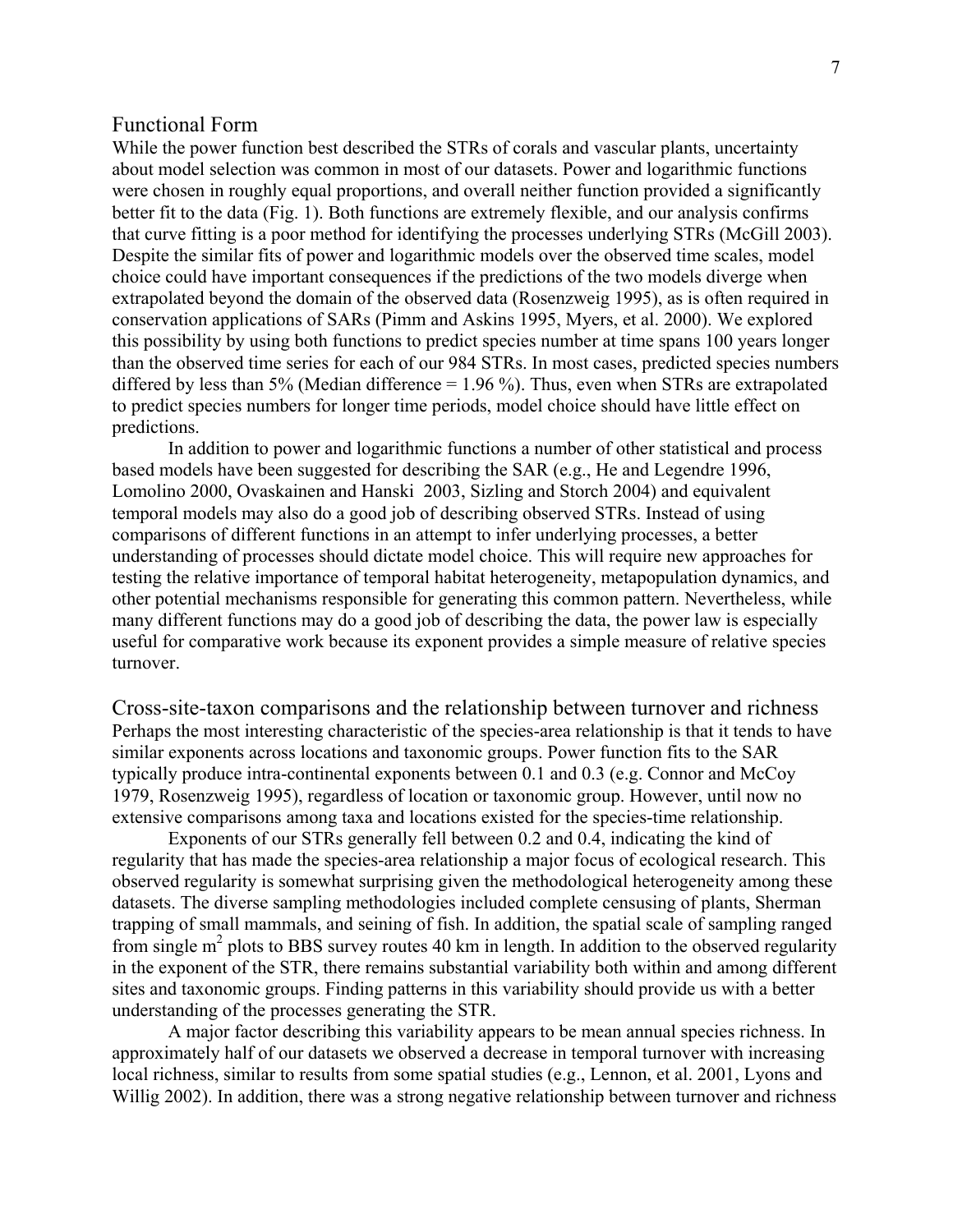#### Functional Form

While the power function best described the STRs of corals and vascular plants, uncertainty that curve fitting is a poor method for identifying the processes underlying STRs (McGill 2003). extrapolated beyond the domain of the observed data (Rosenzweig 1995), as is often required in this possibility by using both functions to predict species number at time spans 100 years longer about model selection was common in most of our datasets. Power and logarithmic functions were chosen in roughly equal proportions, and overall neither function provided a significantly better fit to the data (Fig. 1). Both functions are extremely flexible, and our analysis confirms Despite the similar fits of power and logarithmic models over the observed time scales, model choice could have important consequences if the predictions of the two models diverge when conservation applications of SARs (Pimm and Askins 1995, Myers, et al. 2000). We explored than the observed time series for each of our 984 STRs. In most cases, predicted species numbers differed by less than 5% (Median difference  $= 1.96$ %). Thus, even when STRs are extrapolated to predict species numbers for longer time periods, model choice should have little effect on predictions.

In addition to power and logarithmic functions a number of other statistical and process understanding of processes should dictate model choice. This will require new approaches for testing the relative importance of temporal habitat heterogeneity, metapopulation dynamics, and based models have been suggested for describing the SAR (e.g., He and Legendre 1996, Lomolino 2000, Ovaskainen and Hanski 2003, Sizling and Storch 2004) and equivalent temporal models may also do a good job of describing observed STRs. Instead of using comparisons of different functions in an attempt to infer underlying processes, a better other potential mechanisms responsible for generating this common pattern. Nevertheless, while many different functions may do a good job of describing the data, the power law is especially useful for comparative work because its exponent provides a simple measure of relative species turnover.

Cross-site-taxon comparisons and the relationship between turnover and richness typically produce intra-continental exponents between 0.1 and 0.3 (e.g. Connor and McCoy Perhaps the most interesting characteristic of the species-area relationship is that it tends to have similar exponents across locations and taxonomic groups. Power function fits to the SAR 1979, Rosenzweig 1995), regardless of location or taxonomic group. However, until now no extensive comparisons among taxa and locations existed for the species-time relationship.

regularity that has made the species-area relationship a major focus of ecological research. This Exponents of our STRs generally fell between 0.2 and 0.4, indicating the kind of observed regularity is somewhat surprising given the methodological heterogeneity among these datasets. The diverse sampling methodologies included complete censusing of plants, Sherman trapping of small mammals, and seining of fish. In addition, the spatial scale of sampling ranged from single m<sup>2</sup> plots to BBS survey routes 40 km in length. In addition to the observed regularity in the exponent of the STR, there remains substantial variability both within and among different sites and taxonomic groups. Finding patterns in this variability should provide us with a better understanding of the processes generating the STR.

A major factor describing this variability appears to be mean annual species richness. In approx imately half of our datasets we observed a decrease in temporal turnover with increasing local richness, similar to results from some spatial studies (e.g., Lennon, et al. 2001, Lyons and Willig 2002). In addition, there was a strong negative relationship between turnover and richness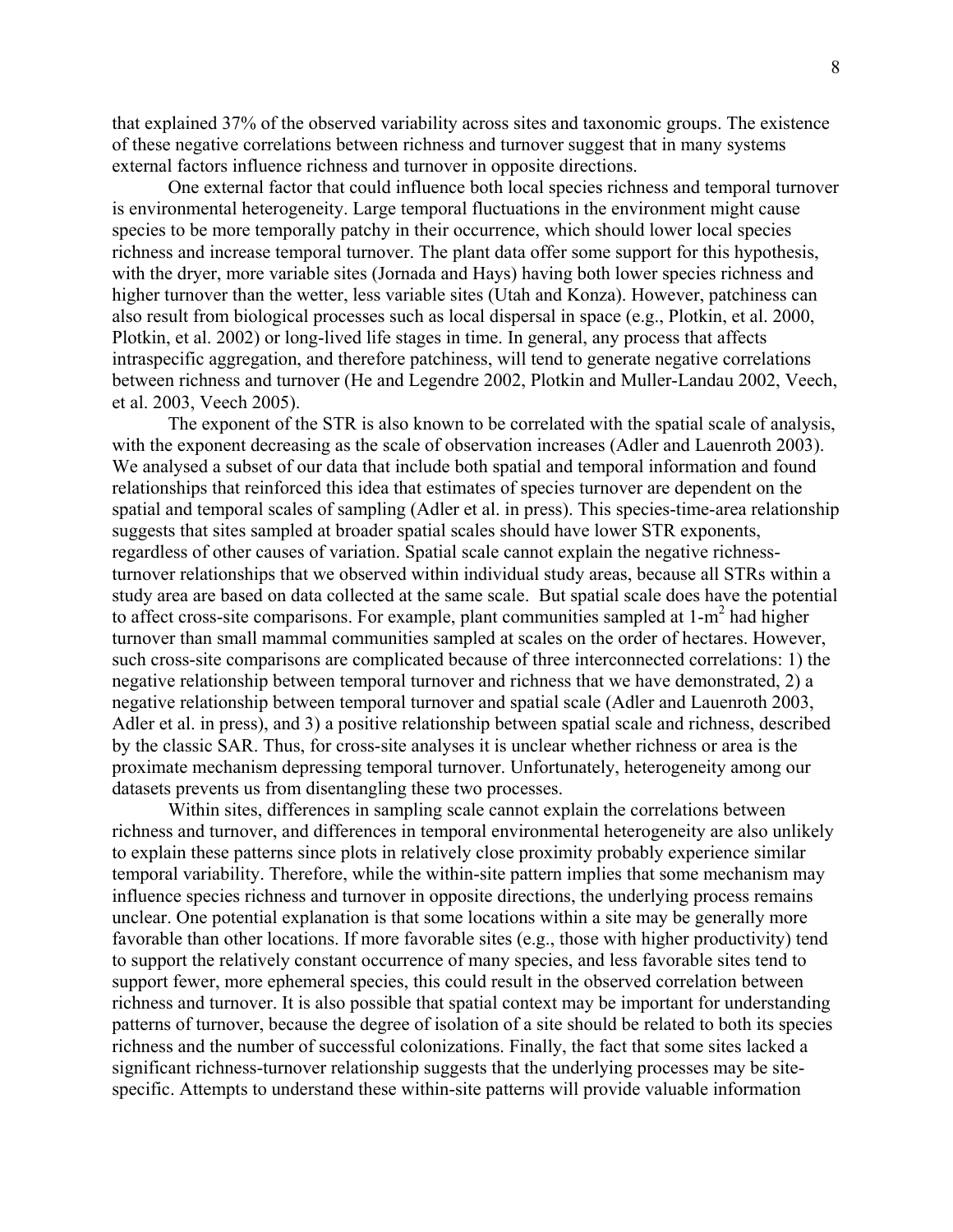that explained 37% of the observed variability across sites and taxonomic groups. The existence of these negative correlations between richness and turnover suggest that in many systems external factors influence richness and turnover in opposite directions.

One external factor that could influence both local species richness and temporal turnover is envir onmental heterogeneity. Large temporal fluctuations in the environment might cause richness and increase temporal turnover. The plant data offer some support for this hypothesis, intraspecific aggregation, and therefore patchiness, will tend to generate negative correlations between richness and turnover (He and Legendre 2002, Plotkin and Muller-Landau 2002, Veech, species to be more temporally patchy in their occurrence, which should lower local species with the dryer, more variable sites (Jornada and Hays) having both lower species richness and higher turnover than the wetter, less variable sites (Utah and Konza). However, patchiness can also result from biological processes such as local dispersal in space (e.g., Plotkin, et al. 2000, Plotkin, et al. 2002) or long-lived life stages in time. In general, any process that affects et al. 2003, Veech 2005).

The exponent of the STR is also known to be correlated with the spatial scale of analysis, with the exponent decreasing as the scale of observation increases (Adler and Lauenroth 2003). spatial and temporal scales of sampling (Adler et al. in press). This species-time-area relationship regardless of other causes of variation. Spatial scale cannot explain the negative richnessturnover relationships that we observed within individual study areas, because all STRs within a turnover than small mammal communities sampled at scales on the order of hectares. However, proximate mechanism depressing temporal turnover. Unfortunately, heterogeneity among our We analysed a subset of our data that include both spatial and temporal information and found relationships that reinforced this idea that estimates of species turnover are dependent on the suggests that sites sampled at broader spatial scales should have lower STR exponents, study area are based on data collected at the same scale. But spatial scale does have the potential to affect cross-site comparisons. For example, plant communities sampled at  $1-m^2$  had higher such cross-site comparisons are complicated because of three interconnected correlations: 1) the negative relationship between temporal turnover and richness that we have demonstrated, 2) a negative relationship between temporal turnover and spatial scale (Adler and Lauenroth 2003, Adler et al. in press), and 3) a positive relationship between spatial scale and richness, described by the classic SAR. Thus, for cross-site analyses it is unclear whether richness or area is the datasets prevents us from disentangling these two processes.

Within sites, differences in sampling scale cannot explain the correlations between richness and turnover, and differences in temporal environmental heterogeneity are also unlikely temporal variability. Therefore, while the within-site pattern implies that some mechanism may favorable than other locations. If more favorable sites (e.g., those with higher productivity) tend richness and turnover. It is also possible that spatial context may be important for understanding to explain these patterns since plots in relatively close proximity probably experience similar influence species richness and turnover in opposite directions, the underlying process remains unclear. One potential explanation is that some locations within a site may be generally more to support the relatively constant occurrence of many species, and less favorable sites tend to support fewer, more ephemeral species, this could result in the observed correlation between patterns of turnover, because the degree of isolation of a site should be related to both its species richness and the number of successful colonizations. Finally, the fact that some sites lacked a significant richness-turnover relationship suggests that the underlying processes may be sitespecific. Attempts to understand these within-site patterns will provide valuable information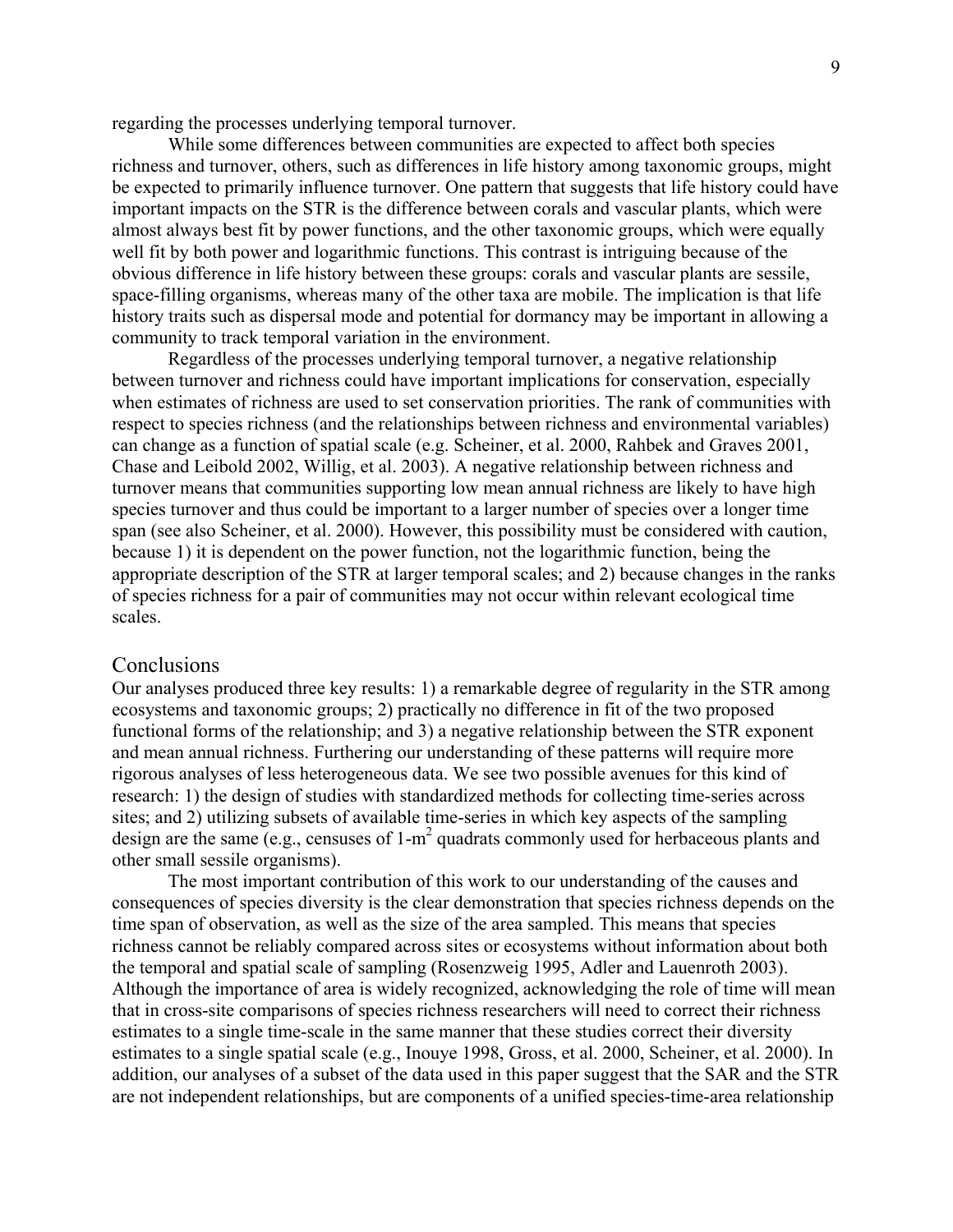regarding the processes underlying temporal turnover.

While some differences between communities are expected to affect both species richness and turnover, others, such as differences in life history among taxonomic groups, might obvious difference in life history between these groups: corals and vascular plants are sessile, be expected to primarily influence turnover. One pattern that suggests that life history could have important impacts on the STR is the difference between corals and vascular plants, which were almost always best fit by power functions, and the other taxonomic groups, which were equally well fit by both power and logarithmic functions. This contrast is intriguing because of the space-filling organisms, whereas many of the other taxa are mobile. The implication is that life history traits such as dispersal mode and potential for dormancy may be important in allowing a community to track temporal variation in the environment.

Regardless of the processes underlying temporal turnover, a negative relationship between turnover and richness could have important implications for conservation, especially when estimates of richness are used to set conservation priorities. The rank of communities with turnover means that communities supporting low mean annual richness are likely to have high span (see also Scheiner, et al. 2000). However, this possibility must be considered with caution, appropriate description of the STR at larger temporal scales; and 2) because changes in the ranks respect to species richness (and the relationships between richness and environmental variables) can change as a function of spatial scale (e.g. Scheiner, et al. 2000, Rahbek and Graves 2001, Chase and Leibold 2002, Willig, et al. 2003). A negative relationship between richness and species turnover and thus could be important to a larger number of species over a longer time because 1) it is dependent on the power function, not the logarithmic function, being the of species richness for a pair of communities may not occur within relevant ecological time scales.

### **Conclusions**

Our analyses produced three key results: 1) a remarkable degree of regularity in the STR among functional forms of the relationship; and 3) a negative relationship between the STR exponent research: 1) the design of studies with standardized methods for collecting time-series across design are the same (e.g., censuses of  $1-m^2$  quadrats commonly used for herbaceous plants and ecosystems and taxonomic groups; 2) practically no difference in fit of the two proposed and mean annual richness. Furthering our understanding of these patterns will require more rigorous analyses of less heterogeneous data. We see two possible avenues for this kind of sites; and 2) utilizing subsets of available time-series in which key aspects of the sampling other small sessile organisms).

The most important contribution of this work to our understanding of the causes and consequences of species diversity is the clear demonstration that species richness depends on the richness cannot be reliably compared across sites or ecosystems without information about both Although the importance of area is widely recognized, acknowledging the role of time will mean estimates to a single spatial scale (e.g., Inouye 1998, Gross, et al. 2000, Scheiner, et al. 2000). In time span of observation, as well as the size of the area sampled. This means that species the temporal and spatial scale of sampling (Rosenzweig 1995, Adler and Lauenroth 2003). that in cross-site comparisons of species richness researchers will need to correct their richness estimates to a single time-scale in the same manner that these studies correct their diversity addition, our analyses of a subset of the data used in this paper suggest that the SAR and the STR are not independent relationships, but are components of a unified species-time-area relationship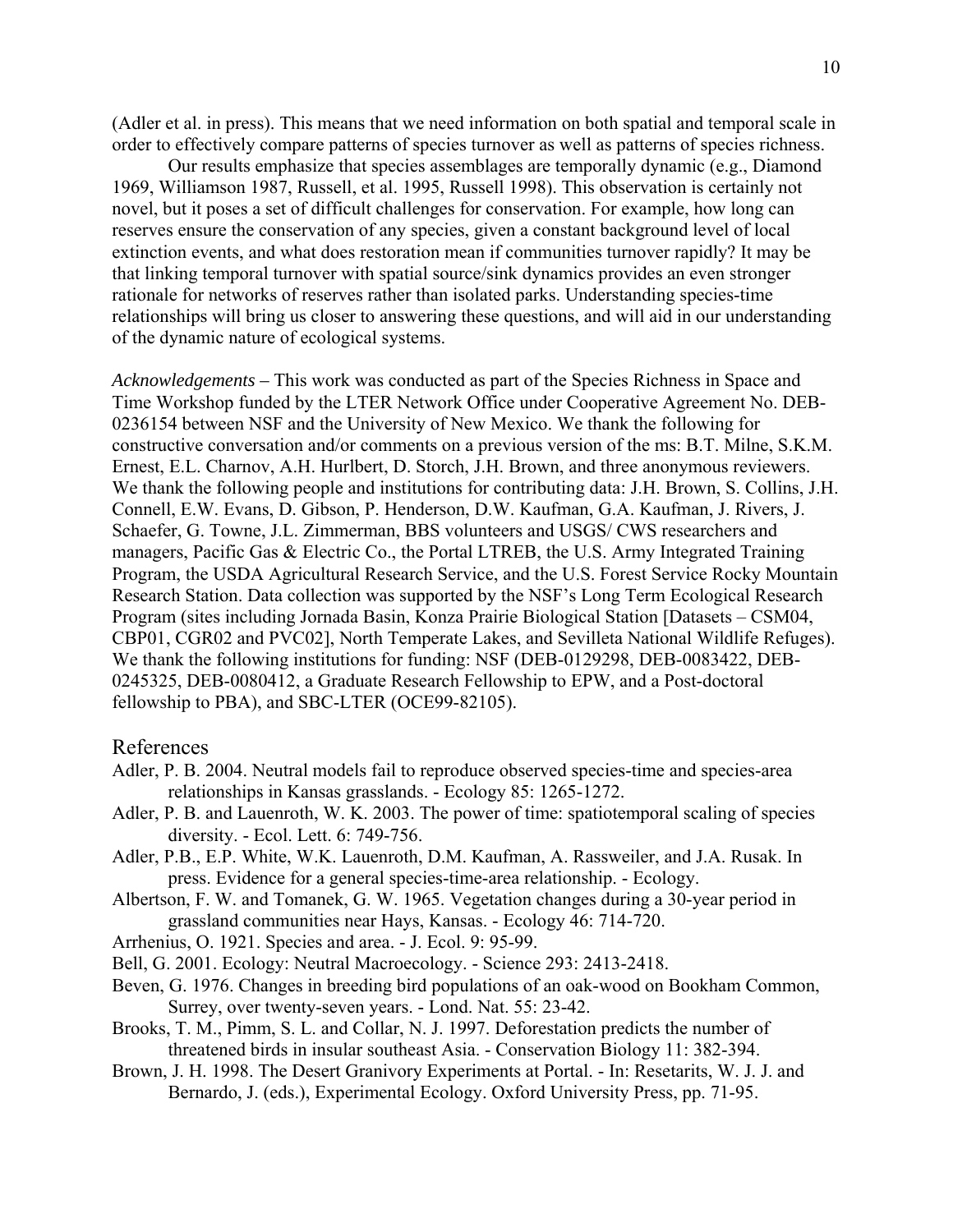(Adler et al. in press). This means that we need information on both spatial and temporal scale in order to effectively compare patterns of species turnover as well as patterns of species richness.

Our results emphasize that species assemblages are temporally dynamic (e.g., Diamond 1969, W illiamson 1987, Russell, et al. 1995, Russell 1998). This observation is certainly not extinction events, and what does restoration mean if communities turnover rapidly? It may be relationships will bring us closer to answering these questions, and will aid in our understanding novel, but it poses a set of difficult challenges for conservation. For example, how long can reserves ensure the conservation of any species, given a constant background level of local that linking temporal turnover with spatial source/sink dynamics provides an even stronger rationale for networks of reserves rather than isolated parks. Understanding species-time of the dynamic nature of ecological systems.

Acknowledgements – This work was conducted as part of the Species Richness in Space and Time Workshop funded by the LTER Network Office under Cooperative Agreement No. DEBconstructive conversation and/or comments on a previous version of the ms: B.T. Milne, S.K.M. We thank the following people and institutions for contributing data: J.H. Brown, S. Collins, J.H. managers, Pacific Gas & Electric Co., the Portal LTREB, the U.S. Army Integrated Training Program, the USDA Agricultural Research Service, and the U.S. Forest Service Rocky Mountain CBP01, CGR02 and PVC02], North Temperate Lakes, and Sevilleta National Wildlife Refuges). 0236154 between NSF and the University of New Mexico. We thank the following for Ernest, E.L. Charnov, A.H. Hurlbert, D. Storch, J.H. Brown, and three anonymous reviewers. Connell, E.W. Evans, D. Gibson, P. Henderson, D.W. Kaufman, G.A. Kaufman, J. Rivers, J. Schaefer, G. Towne, J.L. Zimmerman, BBS volunteers and USGS/ CWS researchers and Research Station. Data collection was supported by the NSF's Long Term Ecological Research Program (sites including Jornada Basin, Konza Prairie Biological Station [Datasets – CSM04, We thank the following institutions for funding: NSF (DEB-0129298, DEB-0083422, DEB-0245325, DEB-0080412, a Graduate Research Fellowship to EPW, and a Post-doctoral fellowship to PBA), and SBC-LTER (OCE99-82105).

### References

- Adler, P. B. 2004. Neutral models fail to reproduce observed species-time and species-area relationships in Kansas grasslands. - Ecology 85: 1265-1272.
- Adler, P. B. and Lauenroth, W. K. 2003. The power of time: spatiotemporal scaling of species diversity. - Ecol. Lett. 6: 749-756.
- Adler, P.B., E.P. White, W.K. Lauenroth, D.M. Kaufman, A. Rassweiler, and J.A. Rusak. In press. Evidence for a general species-time-area relationship. - Ecology.
- Albertson, F. W. and Tomanek, G. W. 1965. Vegetation changes during a 30-year period in grassland communities near Hays, Kansas. - Ecology 46: 714-720.
- Arrhen ius, O. 1921. Species and area. J. Ecol. 9: 95-99.
- Bell, G. 2001. Ecology: Neutral Macroecology. Science 293: 2413-2418.
- Beven, G. 1976. Changes in breeding bird populations of an oak-wood on Bookham Common, Surrey, over twenty-seven years. - Lond. Nat. 55: 23-42.
- Brooks, T. M., Pimm, S. L. and Collar, N. J. 1997. Deforestation predicts the number of threatened birds in insular southeast Asia. - Conservation Biology 11: 382-394.
- Brown, J. H. 1998. The Desert Granivory Experiments at Portal. In: Resetarits, W. J. J. and Bernardo, J. (eds.), Experimental Ecology. Oxford University Press, pp. 71-95.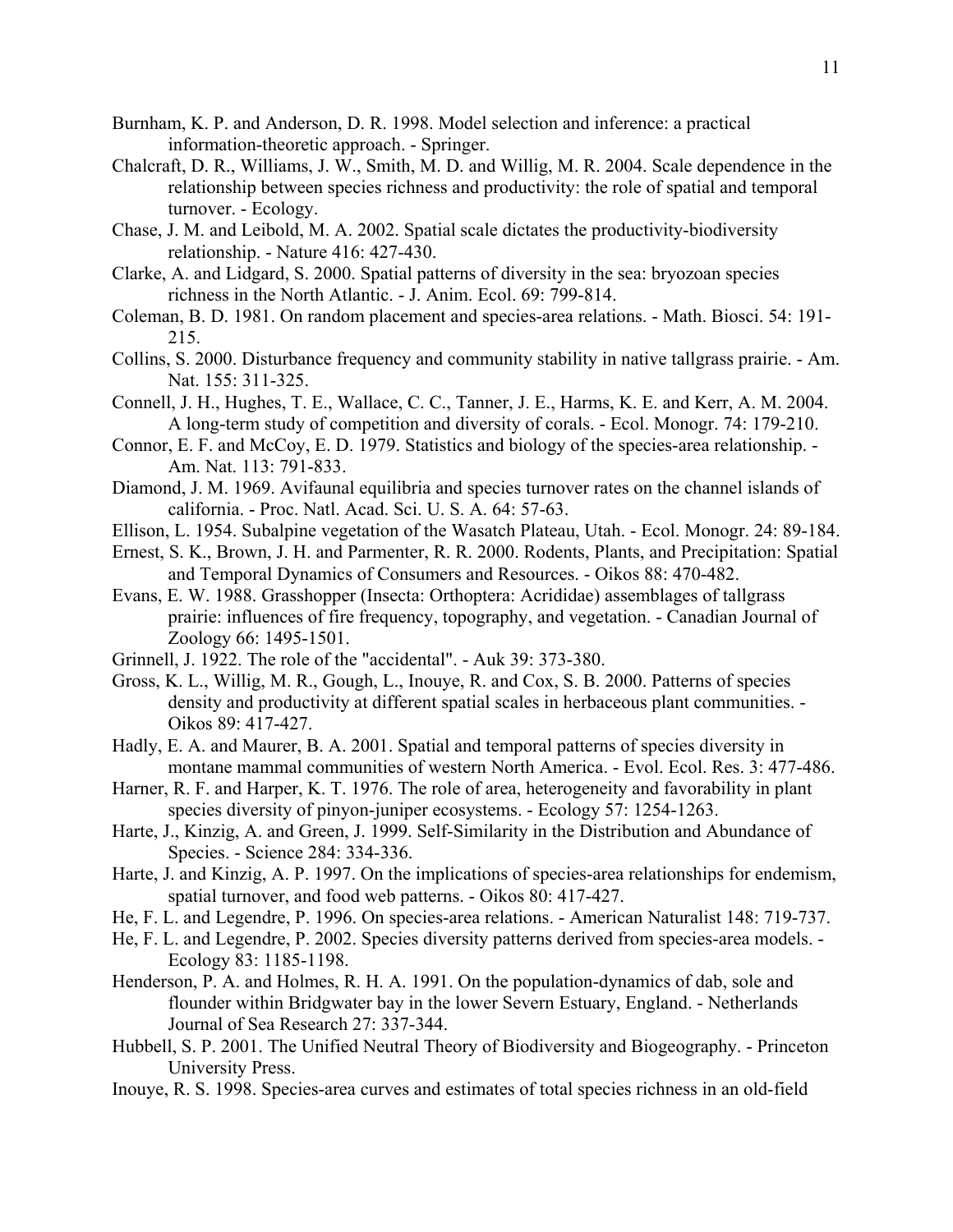- Burnha m, K. P. and Anderson, D. R. 1998. Model selection and inference: a practical information-theoretic approach. - Springer.
- Chalcraft, D. R., Williams, J. W., Smith, M. D. and Willig, M. R. 2004. Scale dependence in the relationship between species richness and productivity: the role of spatial and temporal turnover. - Ecology.
- Chase, J. M. and Leibold, M. A. 2002. Spatial scale dictates the productivity-biodiversity relationship. - Nature 416: 427-430.
- Clarke, A. and Lidgard, S. 2000. Spatial patterns of diversity in the sea: bryozoan species richness in the North Atlantic. - J. Anim. Ecol. 69: 799-814.
- Coleman, B. D. 1981. On random placement and species-area relations. Math. Biosci. 54: 191-215.
- Collins, S. 2000. Disturbance frequency and community stability in native tallgrass prairie. Am. Nat. 155: 311-325.
- Connell, J. H., Hughes, T. E., Wallace, C. C., Tanner, J. E., Harms, K. E. and Kerr, A. M. 2004. A long-term study of competition and diversity of corals. - Ecol. Monogr. 74: 179-210.
- Connor , E. F. and McCoy, E. D. 1979. Statistics and biology of the species-area relationship. Am. Nat. 113: 791-833.
- Diamond, J. M. 1969. Avifaunal equilibria and species turnover rates on the channel islands of california. - Proc. Natl. Acad. Sci. U. S. A. 64: 57-63.
- Ellison, L. 1954. Subalpine vegetation of the Wasatch Plateau, Utah. Ecol. Monogr. 24: 89-184.
- Ernest, S. K., Brown, J. H. and Parmenter, R. R. 2000. Rodents, Plants, and Precipitation: Spatial and Temporal Dynamics of Consumers and Resources. - Oikos 88: 470-482.
- Evans, E. W. 1988. Grasshopper (Insecta: Orthoptera: Acrididae) assemblages of tallgrass prairie: influences of fire frequency, topography, and vegetation. - Canadian Journal of Zoology 66: 1495-1501.
- Grinnell, J. 1922. The role of the "accidental". Auk 39: 373-380.
- Gross, K. L., Willig, M. R., Gough, L., Inouye, R. and Cox, S. B. 2000. Patterns of species density and productivity at different spatial scales in herbaceous plant communities. -Oikos 89: 417-427.
- Hadly, E. A. and Maurer, B. A. 2001. Spatial and temporal patterns of species diversity in montane mammal communities of western North America. - Evol. Ecol. Res. 3: 477-486.
- Harner , R. F. and Harper, K. T. 1976. The role of area, heterogeneity and favorability in plant species diversity of pinyon-juniper ecosystems. - Ecology 57: 1254-1263.
- Harte, J., Kinzig, A. and Green, J. 1999. Self-Similarity in the Distribution and Abundance of Species. - Science 284: 334-336.
- Harte, J. and Kinzig, A. P. 1997. On the implications of species-area relationships for endemism, spatial turnover, and food web patterns. - Oikos 80: 417-427.
- He, F. L. and Legendre, P. 1996. On species-area relations. American Naturalist 148: 719-737.
- He, F. L. and Legendre, P. 2002. Species diversity patterns derived from species-area models. Ecology 83: 1185-1198.
- Henderson, P. A. and Holmes, R. H. A. 1991. On the population-dynamics of dab, sole and flounder within Bridgwater bay in the lower Severn Estuary, England. - Netherlands Journal of Sea Research 27: 337-344.
- Hubbell, S. P. 2001. The Unified Neutral Theory of Biodiversity and Biogeography. Princeton University Press.
- Inouye, R. S. 1998. Species-area curves and estimates of total species richness in an old-field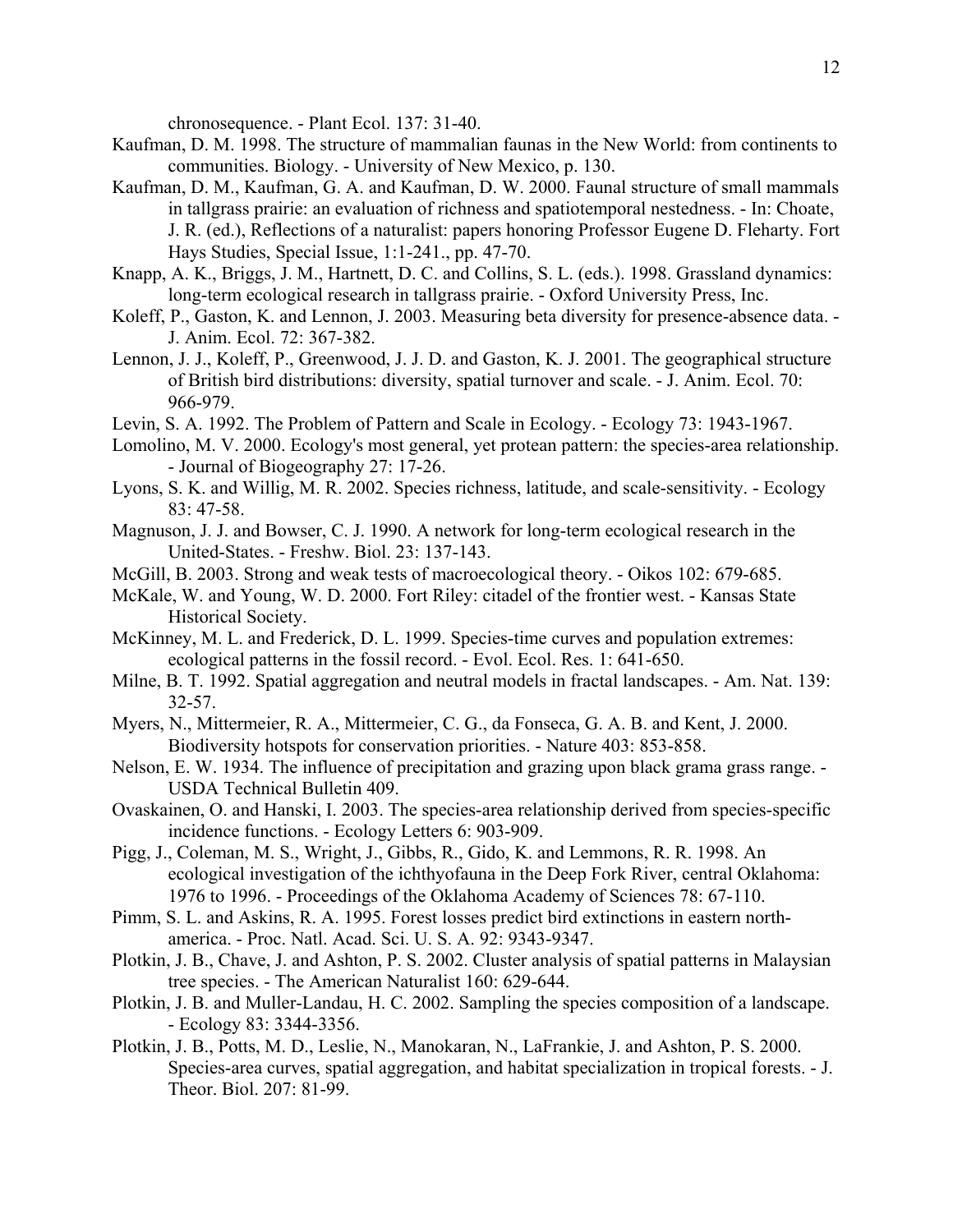chronosequence. - Plant Ecol. 137: 31-40.

- Kaufman, D. M. 1998. The structure of mammalian faunas in the New World: from continents to communities. Biology. - University of New Mexico, p. 130.
- Kaufman, D. M., Kaufman, G. A. and Kaufman, D. W. 2000. Faunal structure of small mammals in tallgrass prairie: an evaluation of richness and spatiotemporal nestedness. - In: Choate, J. R. (ed.), Reflections of a naturalist: papers honoring Professor Eugene D. Fleharty. Fort Hays Studies, Special Issue, 1:1-241., pp. 47-70.
- Knapp, A. K., Briggs, J. M., Hartnett, D. C. and Collins, S. L. (eds.). 1998. Grassland dynamics: long-term ecological research in tallgrass prairie. - Oxford University Press, Inc.
- Koleff, P., Gaston, K. and Lennon, J. 2003. Measuring beta diversity for presence-absence data. -J. Anim. Ecol. 72: 367-382.
- Lennon, J. J., Koleff, P., Greenwood, J. J. D. and Gaston, K. J. 2001. The geographical structure of British bird distributions: diversity, spatial turnover and scale. - J. Anim. Ecol. 70: 966-979.
- Levin, S. A. 1992. The Problem of Pattern and Scale in Ecology. Ecology 73: 1943-1967.
- Lomolino, M. V. 2000. Ecology's most general, yet protean pattern: the species-area relationship. - Journal of Biogeography 27: 17-26.
- Lyons, S. K. and Willig, M. R. 2002. Species richness, latitude, and scale-sensitivity. Ecology 83: 47-58.
- Magnuson, J. J. and Bowser, C. J. 1990. A network for long-term ecological research in the United-States. - Freshw. Biol. 23: 137-143.
- McGill, B. 2003. Strong and weak tests of macroecological theory. Oikos 102: 679-685.
- McKale, W. and Young, W. D. 2000. Fort Riley: citadel of the frontier west. Kansas State Historical Society.
- McKinney, M. L. and Frederick, D. L. 1999. Species-time curves and population extremes: ecological patterns in the fossil record. - Evol. Ecol. Res. 1: 641-650.
- Milne, B. T. 1992. Spatial aggregation and neutral models in fractal landscapes. Am. Nat. 139: 32-57.
- Myers, N., Mittermeier, R. A., Mittermeier, C. G., da Fonseca, G. A. B. and Kent, J. 2000. Biodiversity hotspots for conservation priorities. - Nature 403: 853-858.
- Nelson , E. W. 1934. The influence of precipitation and grazing upon black grama grass range. USDA Technical Bulletin 409.
- Ovaskainen, O. and Hanski, I. 2003. The species-area relationship derived from species-specific incidence functions. - Ecology Letters 6: 903-909.
- Pigg, J., Coleman, M. S., Wright, J., Gibbs, R., Gido, K. and Lemmons, R. R. 1998. An ecological investigation of the ichthyofauna in the Deep Fork River, central Oklahoma: 1976 to 1996. - Proceedings of the Oklahoma Academy of Sciences 78: 67-110.
- Pimm, S. L. and Askins, R. A. 1995. Forest losses predict bird extinctions in eastern northamerica. - Proc. Natl. Acad. Sci. U. S. A. 92: 9343-9347.
- Plotkin, J. B., Chave, J. and Ashton, P. S. 2002. Cluster analysis of spatial patterns in Malaysian tree species. - The American Naturalist 160: 629-644.
- Plotkin, J. B. and Muller-Landau, H. C. 2002. Sampling the species composition of a landscape. - Ecology 83: 3344-3356.
- Plotkin, J. B., Potts, M. D., Leslie, N., Manokaran, N., LaFrankie, J. and Ashton, P. S. 2000. Species-area curves, spatial aggregation, and habitat specialization in tropical forests. - J. Theor. Biol. 207: 81-99.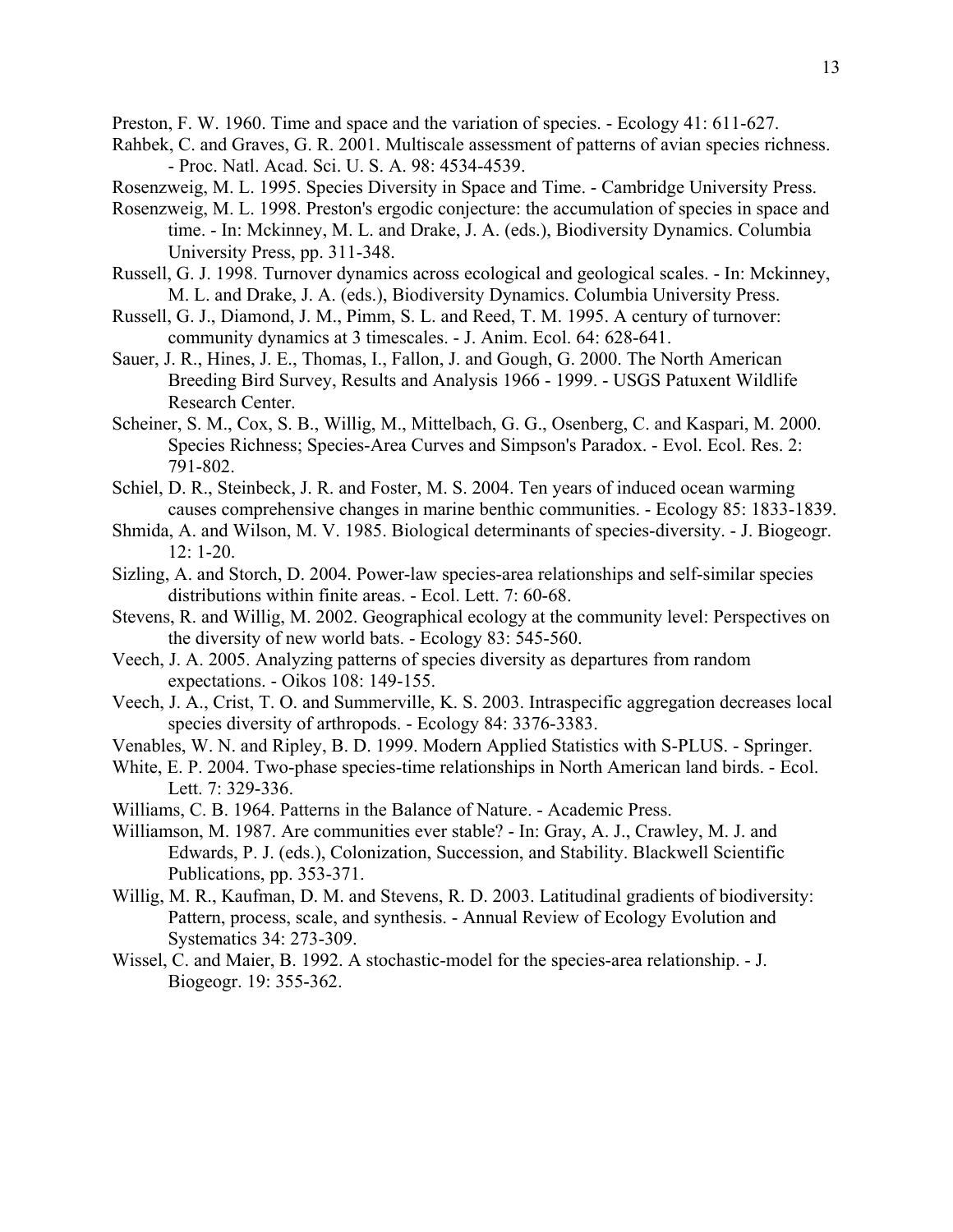Preston, F. W. 1960. Time and space and the variation of species. - Ecology 41: 611-627.

Rahbek, C. and Graves, G. R. 2001. Multiscale assessment of patterns of avian species richness. - Proc. Natl. Acad. Sci. U. S. A. 98: 4534-4539.

Rosenzweig, M. L. 1995. Species Diversity in Space and Time. - Cambridge University Press.

- Rosenzweig, M. L. 1998. Preston's ergodic conjecture: the accumulation of species in space and time. - In: Mckinney, M. L. and Drake, J. A. (eds.), Biodiversity Dynamics. Columbia University Press, pp. 311-348.
- Russell, G. J. 1998. Turnover dynamics across ecological and geological scales. In: Mckinney, M. L. and Drake, J. A. (eds.), Biodiversity Dynamics. Columbia University Press.
- Russell , G. J., Diamond, J. M., Pimm, S. L. and Reed, T. M. 1995. A century of turnover: community dynamics at 3 timescales. - J. Anim. Ecol. 64: 628-641.
- Sauer, J. R., Hines, J. E., Thomas, I., Fallon, J. and Gough, G. 2000. The North American Breeding Bird Survey, Results and Analysis 1966 - 1999. - USGS Patuxent Wildlife Research Center.
- Scheiner, S. M., Cox, S. B., Willig, M., Mittelbach, G. G., Osenberg, C. and Kaspari, M. 2000. Species Richness; Species-Area Curves and Simpson's Paradox. - Evol. Ecol. Res. 2: 791-802.
- Schiel, D. R., Steinbeck, J. R. and Foster, M. S. 2004. Ten years of induced ocean warming causes comprehensive changes in marine benthic communities. - Ecology 85: 1833-1839.
- Shmida , A. and Wilson, M. V. 1985. Biological determinants of species-diversity. J. Biogeogr. 12: 1-20.
- Sizling, A. and Storch, D. 2004. Power-law species-area relationships and self-similar species distributions within finite areas. - Ecol. Lett. 7: 60-68.
- Stevens, R. and Willig, M. 2002. Geographical ecology at the community level: Perspectives on the diversity of new world bats. - Ecology 83: 545-560.
- Veech, J. A. 2005. Analyzing patterns of species diversity as departures from random expectations. - Oikos 108: 149-155.
- Veech, J. A., Crist, T. O. and Summerville, K. S. 2003. Intraspecific aggregation decreases local species diversity of arthropods. - Ecology 84: 3376-3383.
- Venables, W. N. and Ripley, B. D. 1999. Modern Applied Statistics with S-PLUS. Springer.
- White, E. P. 2004. Two-phase species-time relationships in North American land birds. Ecol. Lett. 7: 329-336.
- Williams, C. B. 1964. Patterns in the Balance of Nature. Academic Press.
- Williamson, M. 1987. Are communities ever stable? In: Gray, A. J., Crawley, M. J. and Edwards, P. J. (eds.), Colonization, Succession, and Stability. Blackwell Scientific Publications, pp. 353-371.
- Willig, M. R., Kaufman, D. M. and Stevens, R. D. 2003. Latitudinal gradients of biodiversity: Pattern, process, scale, and synthesis. - Annual Review of Ecology Evolution and Systematics 34: 273-309.
- Wissel, C. and Maier, B. 1992. A stochastic-model for the species-area relationship. J. Biogeogr. 19: 355-362.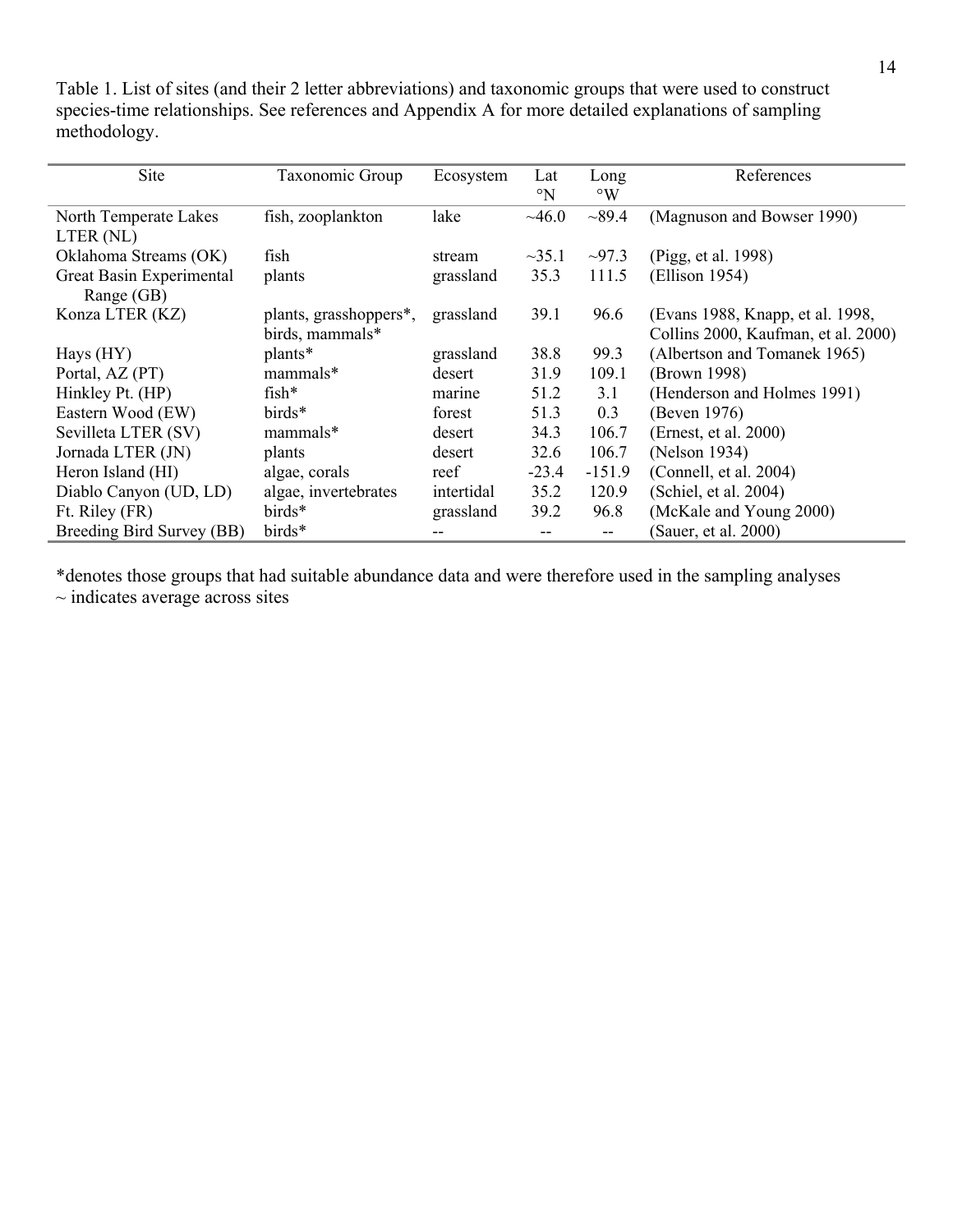Table 1. List of sites (and their 2 letter abbreviations) and taxonomic groups that were used to construct species-time relationships. See references and Appendix A for more detailed explanations of sampling methodology.

| Site                      | Taxonomic Group        | Ecosystem  | Lat<br>$\mathcal{O}(\mathbb{N})$ | Long<br>$\mathcal{O}(W)$ | References                          |
|---------------------------|------------------------|------------|----------------------------------|--------------------------|-------------------------------------|
| North Temperate Lakes     | fish, zooplankton      | lake       | ~146.0                           | ~189.4                   | (Magnuson and Bowser 1990)          |
| LTER (NL)                 |                        |            |                                  |                          |                                     |
| Oklahoma Streams (OK)     | fish                   | stream     | $\sim 35.1$                      | $\sim$ 97.3              | (Pigg, et al. 1998)                 |
| Great Basin Experimental  | plants                 | grassland  | 35.3                             | 111.5                    | (Ellison 1954)                      |
| Range (GB)                |                        |            |                                  |                          |                                     |
| Konza LTER (KZ)           | plants, grasshoppers*, | grassland  | 39.1                             | 96.6                     | (Evans 1988, Knapp, et al. 1998,    |
|                           | birds, mammals*        |            |                                  |                          | Collins 2000, Kaufman, et al. 2000) |
| Hays (HY)                 | plants*                | grassland  | 38.8                             | 99.3                     | (Albertson and Tomanek 1965)        |
| Portal, AZ (PT)           | mammals*               | desert     | 31.9                             | 109.1                    | (Brown 1998)                        |
| Hinkley Pt. (HP)          | $fish*$                | marine     | 51.2                             | 3.1                      | (Henderson and Holmes 1991)         |
| Eastern Wood (EW)         | birds*                 | forest     | 51.3                             | 0.3                      | (Beven 1976)                        |
| Sevilleta LTER (SV)       | mammals*               | desert     | 34.3                             | 106.7                    | (Ernest, et al. 2000)               |
| Jornada LTER (JN)         | plants                 | desert     | 32.6                             | 106.7                    | (Nelson 1934)                       |
| Heron Island (HI)         | algae, corals          | reef       | $-23.4$                          | $-151.9$                 | (Connell, et al. 2004)              |
| Diablo Canyon (UD, LD)    | algae, invertebrates   | intertidal | 35.2                             | 120.9                    | (Schiel, et al. 2004)               |
| Ft. Riley (FR)            | birds*                 | grassland  | 39.2                             | 96.8                     | (McKale and Young 2000)             |
| Breeding Bird Survey (BB) | birds*                 |            |                                  |                          | (Sauer, et al. 2000)                |

\*denotes those groups that had suitable abundance data and were therefore used in the sampling analyses  $\sim$  indicates average across sites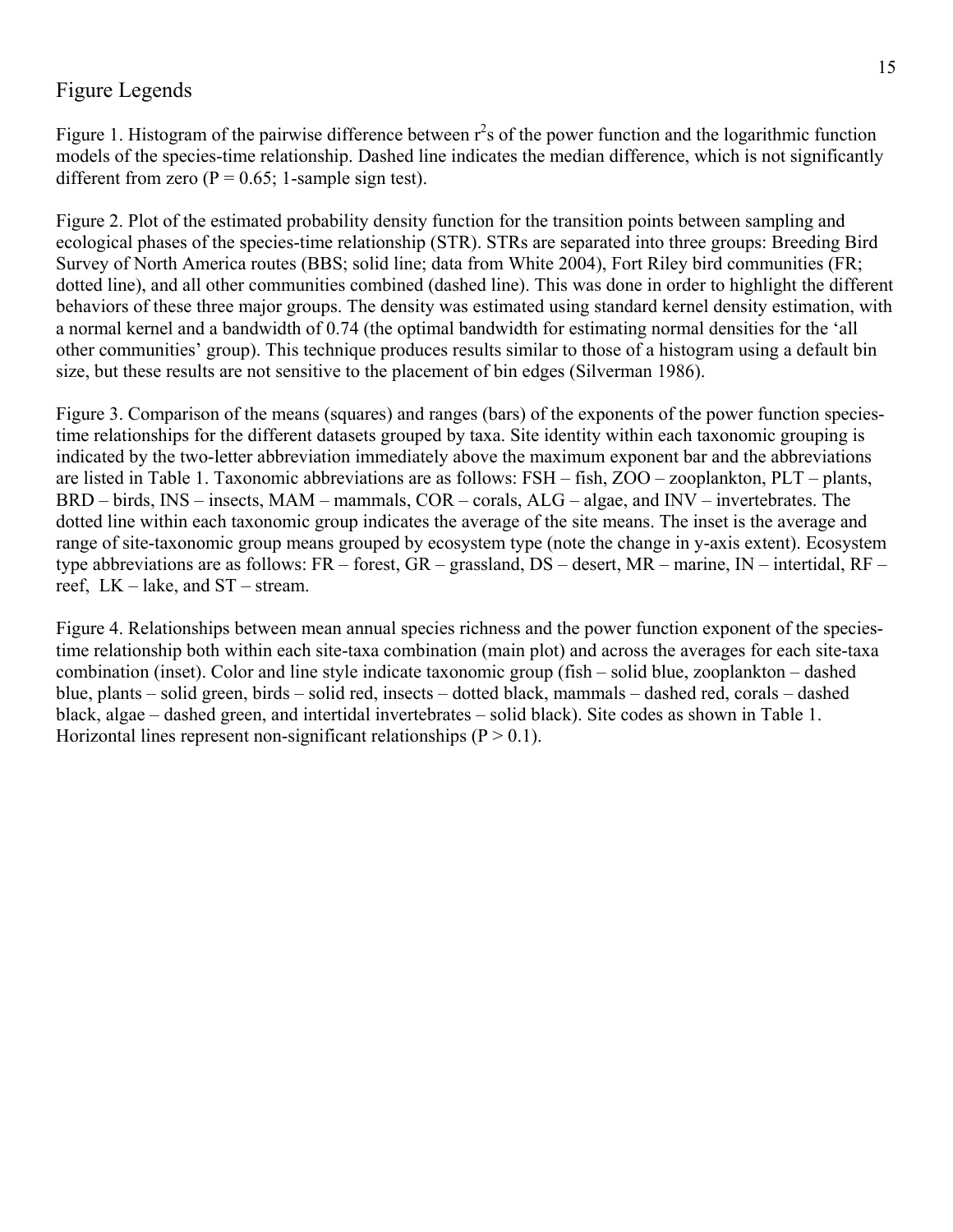## Figure Legends

Figure 1. Histogram of the pairwise difference between  $r^2$ s of the power function and the logarithmic function models of the species-time relationship. Dashed line indicates the median difference, which is not significantly different from zero ( $P = 0.65$ ; 1-sample sign test).

Figure 2. Plot of the estimated probability density function for the transition points between sampling and ecological phases of the species-time relationship (STR). STRs are separated into three groups: Breeding Bird Survey of North America routes (BBS; solid line; data from White 2004), Fort Riley bird communities (FR; dotted line), and all other communities combined (dashed line). This was done in order to highlight the different behaviors of these three major groups. The density was estimated using standard kernel density estimation, with a normal kernel and a bandwidth of 0.74 (the optimal bandwidth for estimating normal densities for the 'all other communities' group). This technique produces results similar to those of a histogram using a default bin size, but these results are not sensitive to the placement of bin edges (Silverman 1986).

Figure 3. Comparison of the means (squares) and ranges (bars) of the exponents of the power function speciestime relationships for the different datasets grouped by taxa. Site identity within each taxonomic grouping is indicated by the two-letter abbreviation immediately above the maximum exponent bar and the abbreviations are listed in Table 1. Taxonomic abbreviations are as follows: FSH – fish, ZOO – zooplankton, PLT – plants, BRD – birds, INS – insects, MAM – mammals, COR – corals, ALG – algae, and INV – invertebrates. The dotted line within each taxonomic group indicates the average of the site means. The inset is the average and range of site-taxonomic group means grouped by ecosystem type (note the change in y-axis extent). Ecosystem type abbreviations are as follows: FR – forest, GR – grassland, DS – desert, MR – marine, IN – intertidal, RF – reef, LK – lake, and ST – stream.

Figure 4. Relationships between mean annual species richness and the power function exponent of the speciestime relationship both within each site-taxa combination (main plot) and across the averages for each site-taxa combination (inset). Color and line style indicate taxonomic group (fish – solid blue, zooplankton – dashed blue, plants – solid green, birds – solid red, insects – dotted black, mammals – dashed red, corals – dashed black, algae – dashed green, and intertidal invertebrates – solid black). Site codes as shown in Table 1. Horizontal lines represent non-significant relationships  $(P > 0.1)$ .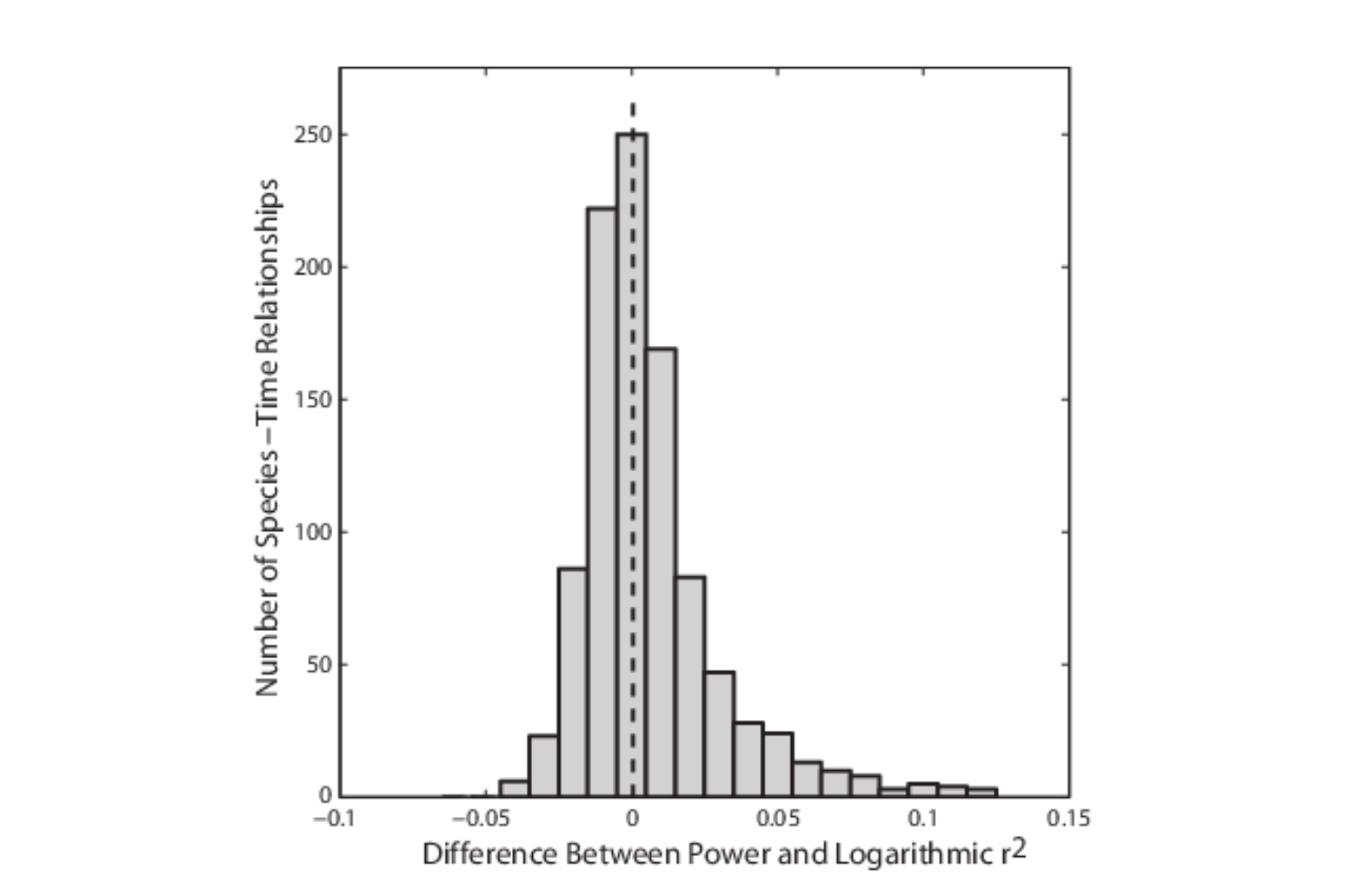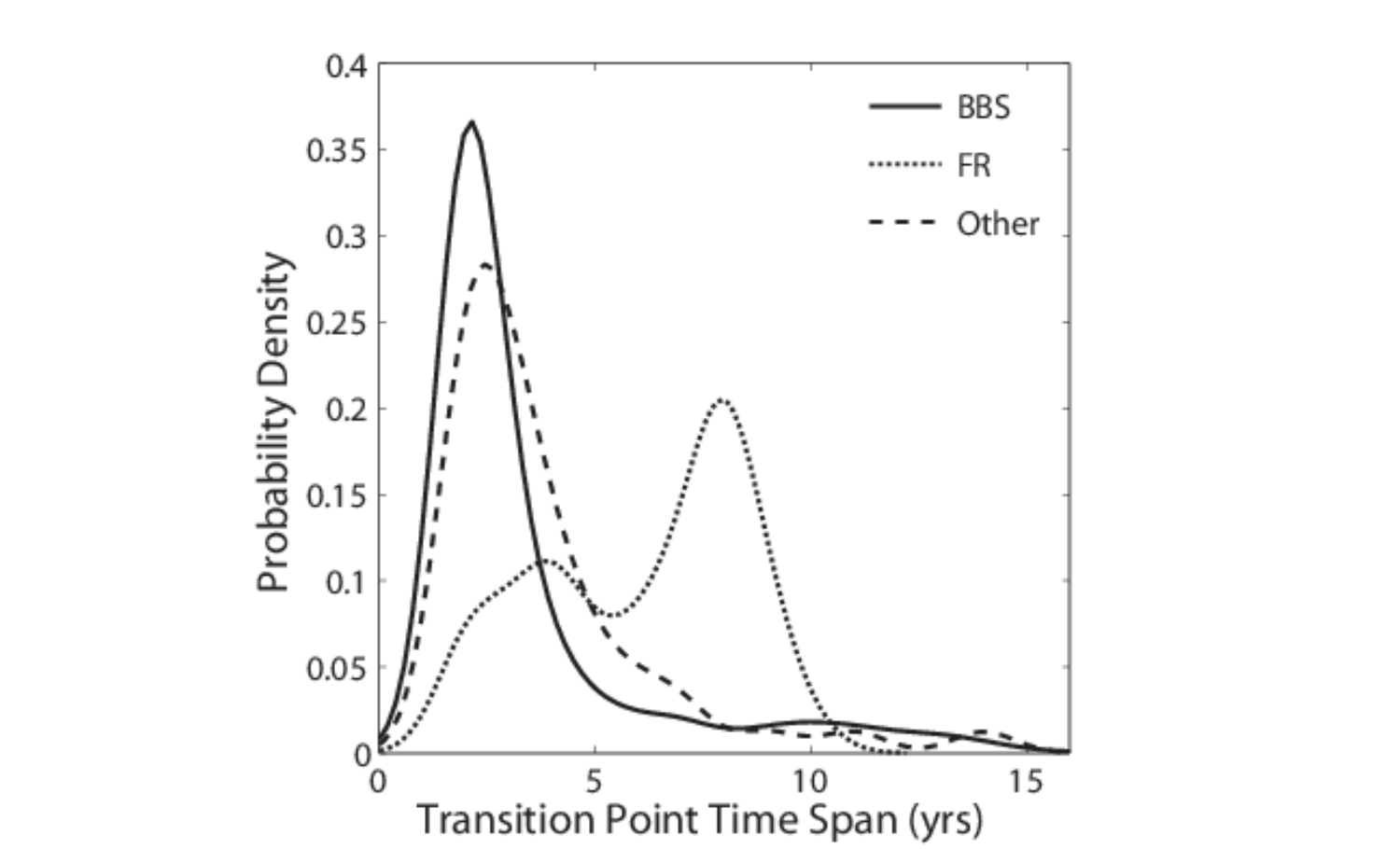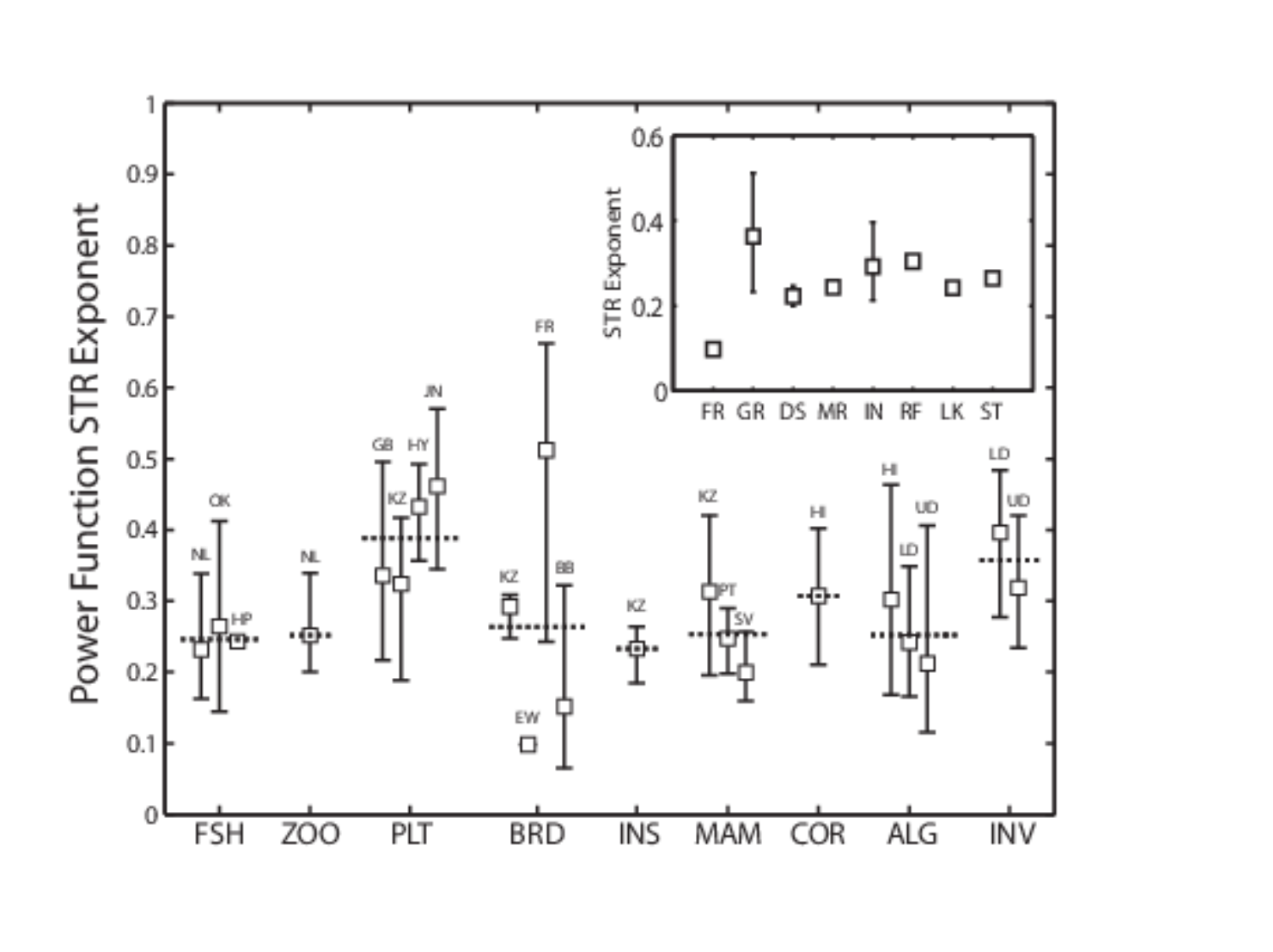